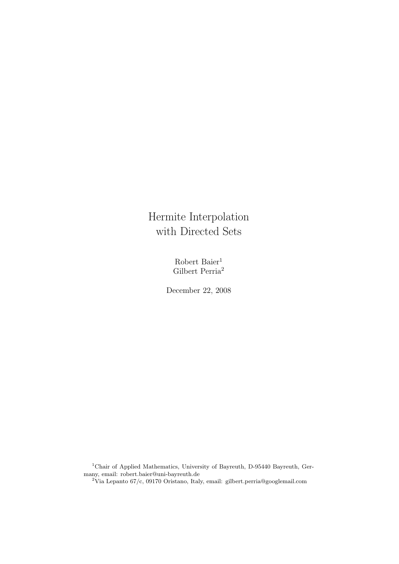# Hermite Interpolation with Directed Sets

Robert Baier $^{\rm 1}$ Gilbert Perria<sup>2</sup>

December 22, 2008

<sup>1</sup>Chair of Applied Mathematics, University of Bayreuth, D-95440 Bayreuth, Germany, email: robert.baier@uni-bayreuth.de

<sup>2</sup>Via Lepanto 67/c, 09170 Oristano, Italy, email: gilbert.perria@googlemail.com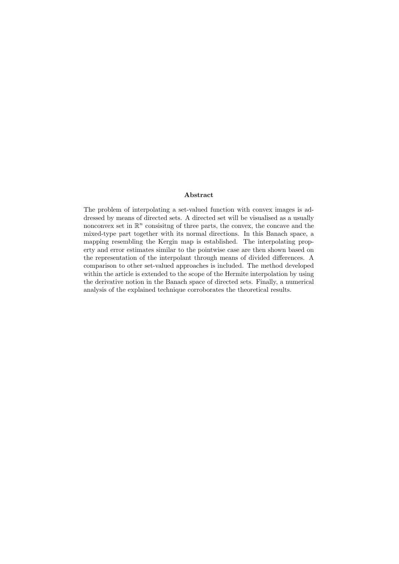#### Abstract

The problem of interpolating a set-valued function with convex images is addressed by means of directed sets. A directed set will be visualised as a usually nonconvex set in  $\mathbb{R}^n$  consisitng of three parts, the convex, the concave and the mixed-type part together with its normal directions. In this Banach space, a mapping resembling the Kergin map is established. The interpolating property and error estimates similar to the pointwise case are then shown based on the representation of the interpolant through means of divided differences. A comparison to other set-valued approaches is included. The method developed within the article is extended to the scope of the Hermite interpolation by using the derivative notion in the Banach space of directed sets. Finally, a numerical analysis of the explained technique corroborates the theoretical results.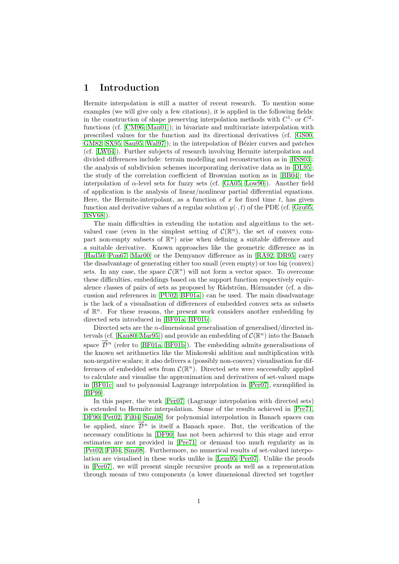### 1 Introduction

Hermite interpolation is still a matter of recent research. To mention some examples (we will give only a few citations), it is applied in the following fields: in the construction of shape preserving interpolation methods with  $C^1$ - or  $C^2$ functions (cf. [\[CM96,](#page-30-0) [Man01\]](#page-32-0)); in bivariate and multivariate interpolation with prescribed values for the function and its directional derivatives (cf. [\[GS00,](#page-32-1) [GM82,](#page-31-0) [SX95,](#page-34-0) [Sau95,](#page-34-1) [Wal97\]](#page-34-2)); in the interpolation of Bézier curves and patches (cf. [\[LW04\]](#page-32-2)). Further subjects of research involving Hermite interpolation and divided differences include: terrain modelling and reconstruction as in [\[HSS03\]](#page-32-3); the analysis of subdivision schemes incorporating derivative data as in [\[DL95\]](#page-31-1); the study of the correlation coefficient of Brownian motion as in [\[BB04\]](#page-30-1); the interpolation of  $\alpha$ -level sets for fuzzy sets (cf. [\[GA05,](#page-31-2) [Low90\]](#page-32-4)). Another field of application is the analysis of linear/nonlinear partial differential equations. Here, the Hermite-interpolant, as a function of  $x$  for fixed time  $t$ , has given function and derivative values of a regular solution  $y(\cdot, t)$  of the PDE (cf. [\[Gru05,](#page-32-5) [BSV68\]](#page-30-2)).

The main difficulties in extending the notation and algorithms to the setvalued case (even in the simplest setting of  $\mathcal{C}(\mathbb{R}^n)$ , the set of convex compact non-empty subsets of  $\mathbb{R}^n$ ) arise when defining a suitable difference and a suitable derivative. Known approaches like the geometric difference as in [\[Had50,](#page-32-6) [Pon67,](#page-33-0) [Mar00\]](#page-33-1) or the Demyanov difference as in [\[RA92,](#page-34-3) [DR95\]](#page-31-3) carry the disadvantage of generating either too small (even empty) or too big (convex) sets. In any case, the space  $\mathcal{C}(\mathbb{R}^n)$  will not form a vector space. To overcome these difficulties, embeddings based on the support function respectively equivalence classes of pairs of sets as proposed by Rådström, Hörmander (cf. a discussion and references in [\[PU02,](#page-33-2) [BF01a\]](#page-30-3)) can be used. The main disadvantage is the lack of a visualisation of differences of embedded convex sets as subsets of  $\mathbb{R}^n$ . For these reasons, the present work considers another embedding by directed sets introduced in [\[BF01a,](#page-30-3) [BF01b\]](#page-30-4).

Directed sets are the n-dimensional generalisation of generalised/directed in-tervals (cf. [\[Kau80,](#page-32-7) [Mar95\]](#page-33-3)) and provide an embedding of  $\mathcal{C}(\mathbb{R}^n)$  into the Banach space  $\overline{\mathcal{D}}^n$  (refer to [\[BF01a,](#page-30-3) [BF01b\]](#page-30-4)). The embedding admits generalisations of the known set arithmetics like the Minkowski addition and multiplication with non-negative scalars; it also delivers a (possibly non-convex) visualisation for differences of embedded sets from  $\mathcal{C}(\mathbb{R}^n)$ . Directed sets were successfully applied to calculate and visualise the approximation and derivatives of set-valued maps in [\[BF01c\]](#page-30-5) and to polynomial Lagrange interpolation in [\[Per07\]](#page-33-4), exemplified in [\[BF99\]](#page-30-6).

In this paper, the work [\[Per07\]](#page-33-4) (Lagrange interpolation with directed sets) is extended to Hermite interpolation. Some of the results achieved in [\[Pre71,](#page-33-5) [DF90,](#page-31-4) [Pet02,](#page-33-6) [Fil04,](#page-31-5) [Sim08\]](#page-34-4) for polynomial interpolation in Banach spaces can be applied, since  $\vec{\mathcal{D}}^n$  is itself a Banach space. But, the verification of the necessary conditions in [\[DF90\]](#page-31-4) has not been achieved to this stage and error estimates are not provided in [\[Pre71\]](#page-33-5) or demand too much regularity as in [\[Pet02,](#page-33-6) [Fil04,](#page-31-5) [Sim08\]](#page-34-4). Furthermore, no numerical results of set-valued interpolation are visualised in these works unlike in [\[Lem95,](#page-32-8) [Per07\]](#page-33-4). Unlike the proofs in [\[Per07\]](#page-33-4), we will present simple recursive proofs as well as a representation through means of two components (a lower dimensional directed set together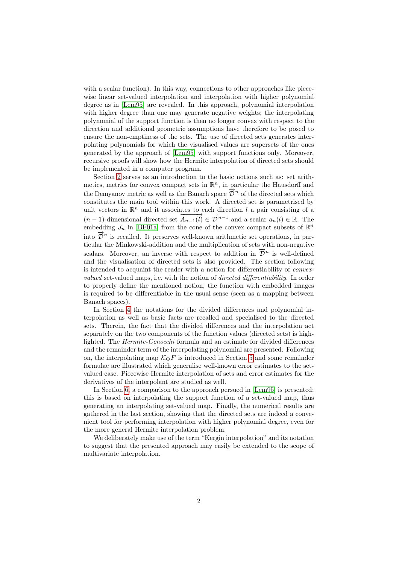with a scalar function). In this way, connections to other approaches like piecewise linear set-valued interpolation and interpolation with higher polynomial degree as in [\[Lem95\]](#page-32-8) are revealed. In this approach, polynomial interpolation with higher degree than one may generate negative weights; the interpolating polynomial of the support function is then no longer convex with respect to the direction and additional geometric assumptions have therefore to be posed to ensure the non-emptiness of the sets. The use of directed sets generates interpolating polynomials for which the visualised values are supersets of the ones generated by the approach of [\[Lem95\]](#page-32-8) with support functions only. Moreover, recursive proofs will show how the Hermite interpolation of directed sets should be implemented in a computer program.

Section [2](#page-4-0) serves as an introduction to the basic notions such as: set arithmetics, metrics for convex compact sets in  $\mathbb{R}^n$ , in particular the Hausdorff and the Demyanov metric as well as the Banach space  $\vec{\mathcal{D}}^n$  of the directed sets which constitutes the main tool within this work. A directed set is parametrised by unit vectors in  $\mathbb{R}^n$  and it associates to each direction l a pair consisting of a  $(n-1)$ -dimensional directed set  $\overline{A_{n-1}(l)} \in \overrightarrow{D}^{n-1}$  and a scalar  $a_n(l) \in \mathbb{R}$ . The embedding  $J_n$  in [\[BF01a\]](#page-30-3) from the cone of the convex compact subsets of  $\mathbb{R}^n$ into  $\vec{\mathcal{D}}^n$  is recalled. It preserves well-known arithmetic set operations, in particular the Minkowski-addition and the multiplication of sets with non-negative scalars. Moreover, an inverse with respect to addition in  $\vec{\mathcal{D}}^n$  is well-defined and the visualisation of directed sets is also provided. The section following is intended to acquaint the reader with a notion for differentiability of convexvalued set-valued maps, i.e. with the notion of directed differentiability. In order to properly define the mentioned notion, the function with embedded images is required to be differentiable in the usual sense (seen as a mapping between Banach spaces).

In Section [4](#page-11-0) the notations for the divided differences and polynomial interpolation as well as basic facts are recalled and specialised to the directed sets. Therein, the fact that the divided differences and the interpolation act separately on the two components of the function values (directed sets) is highlighted. The *Hermite-Genocchi* formula and an estimate for divided differences and the remainder term of the interpolating polynomial are presented. Following on, the interpolating map  $\mathcal{K}_{\Theta}F$  is introduced in Section [5](#page-15-0) and some remainder formulae are illustrated which generalise well-known error estimates to the setvalued case. Piecewise Hermite interpolation of sets and error estimates for the derivatives of the interpolant are studied as well.

In Section [6,](#page-19-0) a comparison to the approach persued in [\[Lem95\]](#page-32-8) is presented; this is based on interpolating the support function of a set-valued map, thus generating an interpolating set-valued map. Finally, the numerical results are gathered in the last section, showing that the directed sets are indeed a convenient tool for performing interpolation with higher polynomial degree, even for the more general Hermite interpolation problem.

We deliberately make use of the term "Kergin interpolation" and its notation to suggest that the presented approach may easily be extended to the scope of multivariate interpolation.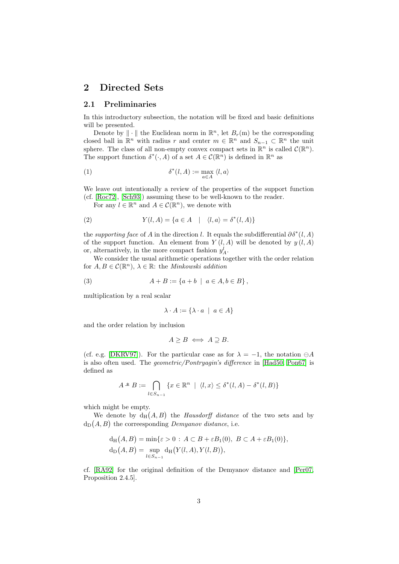# <span id="page-4-0"></span>2 Directed Sets

### <span id="page-4-1"></span>2.1 Preliminaries

In this introductory subsection, the notation will be fixed and basic definitions will be presented.

Denote by  $\|\cdot\|$  the Euclidean norm in  $\mathbb{R}^n$ , let  $B_r(m)$  be the corresponding closed ball in  $\mathbb{R}^n$  with radius r and center  $m \in \mathbb{R}^n$  and  $S_{n-1} \subset \mathbb{R}^n$  the unit sphere. The class of all non-empty convex compact sets in  $\mathbb{R}^n$  is called  $\mathcal{C}(\mathbb{R}^n)$ . The support function  $\delta^*(\cdot, A)$  of a set  $A \in \mathcal{C}(\mathbb{R}^n)$  is defined in  $\mathbb{R}^n$  as

(1) 
$$
\delta^*(l, A) := \max_{a \in A} \langle l, a \rangle
$$

We leave out intentionally a review of the properties of the support function (cf. [\[Roc72\]](#page-34-5), [\[Sch93\]](#page-34-6)) assuming these to be well-known to the reader.

For any  $l \in \mathbb{R}^n$  and  $A \in \mathcal{C}(\mathbb{R}^n)$ , we denote with

(2) 
$$
Y(l, A) = \{a \in A \mid \langle l, a \rangle = \delta^*(l, A)\}
$$

the *supporting face* of A in the direction l. It equals the subdifferential  $\partial \delta^*(l, A)$ of the support function. An element from  $Y(l, A)$  will be denoted by  $y(l, A)$ or, alternatively, in the more compact fashion  $y_A^l$ .

We consider the usual arithmetic operations together with the order relation for  $A, B \in \mathcal{C}(\mathbb{R}^n)$ ,  $\lambda \in \mathbb{R}$ : the *Minkowski addition* 

(3) 
$$
A + B := \{a + b \mid a \in A, b \in B\},\
$$

multiplication by a real scalar

$$
\lambda \cdot A := \{ \lambda \cdot a \: \mid \: a \in A \}
$$

and the order relation by inclusion

$$
A \geq B \iff A \supseteq B.
$$

(cf. e.g. [\[DKRV97\]](#page-31-6)). For the particular case as for  $\lambda = -1$ , the notation  $\ominus A$ is also often used. The geometric/Pontryagin's difference in [\[Had50,](#page-32-6) [Pon67\]](#page-33-0) is defined as

$$
A \triangleq B := \bigcap_{l \in S_{n-1}} \{ x \in \mathbb{R}^n \mid \langle l, x \rangle \le \delta^*(l, A) - \delta^*(l, B) \}
$$

which might be empty.

We denote by  $d_H(A, B)$  the *Hausdorff distance* of the two sets and by  $d_D(A, B)$  the correesponding Demyanov distance, i.e.

$$
d_H(A, B) = \min\{\varepsilon > 0 : A \subset B + \varepsilon B_1(0), B \subset A + \varepsilon B_1(0)\},
$$
  

$$
d_D(A, B) = \sup_{l \in S_{n-1}} d_H(Y(l, A), Y(l, B)),
$$

cf. [\[RA92\]](#page-34-3) for the original definition of the Demyanov distance and [\[Per07,](#page-33-4) Proposition 2.4.5].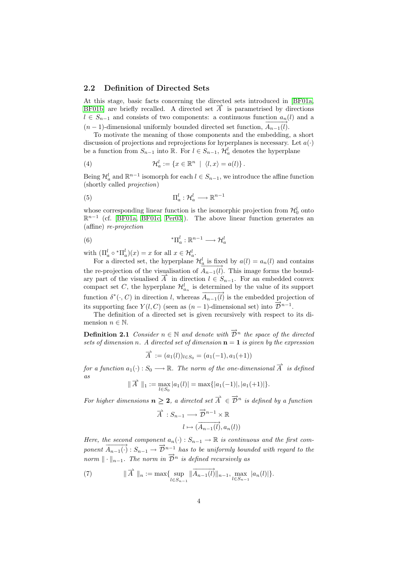#### 2.2 Definition of Directed Sets

At this stage, basic facts concerning the directed sets introduced in [\[BF01a,](#page-30-3)  $BF01b$ ] are briefly recalled. A directed set  $\overrightarrow{A}$  is parametrised by directions  $l \in S_{n-1}$  and consists of two components: a continuous function  $a_n(l)$  and a  $(n-1)$ -dimensional uniformly bounded directed set function,  $\overline{A_{n-1}(l)}$ .

To motivate the meaning of those components and the embedding, a short discussion of projections and reprojections for hyperplanes is necessary. Let  $a(\cdot)$ be a function from  $S_{n-1}$  into  $\mathbb{R}$ . For  $l \in S_{n-1}$ ,  $\mathcal{H}_a^l$  denotes the hyperplane

(4) 
$$
\mathcal{H}_a^l := \{x \in \mathbb{R}^n \mid \langle l, x \rangle = a(l)\}.
$$

Being  $\mathcal{H}_a^l$  and  $\mathbb{R}^{n-1}$  isomorph for each  $l \in S_{n-1}$ , we introduce the affine function (shortly called projection)

(5) 
$$
\Pi_a^l : \mathcal{H}_a^l \longrightarrow \mathbb{R}^{n-1}
$$

whose corresponding linear function is the isomorphic projection from  $\mathcal{H}_0^l$  onto  $\mathbb{R}^{n-1}$  (cf. [\[BF01a,](#page-30-3) [BF01c,](#page-30-5) [Per03\]](#page-33-7)). The above linear function generates an (affine) re-projection

(6) 
$$
{}^*\Pi_a^l : \mathbb{R}^{n-1} \longrightarrow \mathcal{H}_a^l
$$

with  $(\Pi_a^l \circ {}^*\Pi_a^l)(x) = x$  for all  $x \in \mathcal{H}_a^l$ .

For a directed set, the hyperplane  $\mathcal{H}_a^l$  is fixed by  $a(l) = a_n(l)$  and contains the re-projection of the visualisation of  $\overline{A_{n-1}(l)}$ . This image forms the boundary part of the visualised  $\overrightarrow{A}$  in direction  $l \in S_{n-1}$ . For an embedded convex compact set C, the hyperplane  $\mathcal{H}_{a_n}^l$  is determined by the value of its support function  $\delta^*(\cdot, C)$  in direction l, whereas  $\overrightarrow{A_{n-1}(l)}$  is the embedded projection of its supporting face  $Y(l, C)$  (seen as  $(n - 1)$ -dimensional set) into  $\overrightarrow{D}^{n-1}$ .

The definition of a directed set is given recursively with respect to its dimension  $n \in \mathbb{N}$ .

**Definition 2.1** Consider  $n \in \mathbb{N}$  and denote with  $\overrightarrow{D}^n$  the space of the directed sets of dimension n. A directed set of dimension  $\mathbf{n} = 1$  is given by the expression

<span id="page-5-1"></span>
$$
\overrightarrow{A} := (a_1(l))_{l \in S_0} = (a_1(-1), a_1(+1))
$$

for a function  $a_1(\cdot): S_0 \longrightarrow \mathbb{R}$ . The norm of the one-dimensional  $\overrightarrow{A}$  is defined as

$$
\|\overrightarrow{A}\|_1 := \max_{l \in S_0} |a_1(l)| = \max\{|a_1(-1)|, |a_1(+1)|\}.
$$

For higher dimensions  $n \geq 2$ , a directed set  $\overrightarrow{A} \in \overrightarrow{D}^n$  is defined by a function

<span id="page-5-0"></span>
$$
\overrightarrow{A} : S_{n-1} \longrightarrow \overrightarrow{\mathcal{D}}^{n-1} \times \mathbb{R}
$$

$$
l \mapsto (\overrightarrow{A_{n-1}(l)}, a_n(l))
$$

Here, the second component  $a_n(\cdot): S_{n-1} \to \mathbb{R}$  is continuous and the first component  $\overline{A_{n-1}(\cdot)}$ :  $S_{n-1} \to \overline{D}^{n-1}$  has to be uniformly bounded with regard to the norm  $\|\cdot\|_{n-1}$ . The norm in  $\overrightarrow{D}^n$  is defined recursively as

(7) 
$$
\|\overrightarrow{A}\|_{n} := \max\{\sup_{l \in S_{n-1}} \|\overrightarrow{A_{n-1}(l)}\|_{n-1}, \max_{l \in S_{n-1}} |a_n(l)|\}.
$$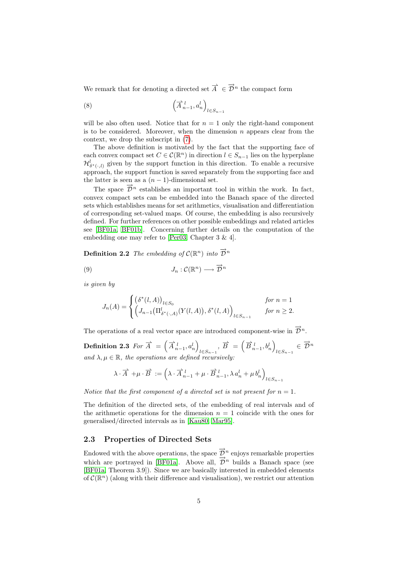<span id="page-6-1"></span>We remark that for denoting a directed set  $\overrightarrow{A} \in \overrightarrow{D}^n$  the compact form

(8) 
$$
\left(\overrightarrow{A}_{n-1}^l, a_n^l\right)_{l \in S_{n-1}}
$$

will be also often used. Notice that for  $n = 1$  only the right-hand component is to be considered. Moreover, when the dimension  $n$  appears clear from the context, we drop the subscript in [\(7\)](#page-5-0).

The above definition is motivated by the fact that the supporting face of each convex compact set  $C \in \mathcal{C}(\mathbb{R}^n)$  in direction  $l \in S_{n-1}$  lies on the hyperplane  $\mathcal{H}_{\delta^*(\cdot,l)}^l$  given by the support function in this direction. To enable a recursive approach, the support function is saved separately from the supporting face and the latter is seen as a  $(n-1)$ -dimensional set.

The space  $\overrightarrow{\mathcal{D}}^n$  establishes an important tool in within the work. In fact, convex compact sets can be embedded into the Banach space of the directed sets which establishes means for set arithmetics, visualisation and differentiation of corresponding set-valued maps. Of course, the embedding is also recursively defined. For further references on other possible embeddings and related articles see [\[BF01a,](#page-30-3) [BF01b\]](#page-30-4). Concerning further details on the computation of the embedding one may refer to [\[Per03,](#page-33-7) Chapter 3 & 4].

<span id="page-6-0"></span>**Definition 2.2** The embedding of  $\mathcal{C}(\mathbb{R}^n)$  into  $\overrightarrow{\mathcal{D}}^n$ 

$$
(9) \t\t J_n: \mathcal{C}(\mathbb{R}^n) \longrightarrow \overrightarrow{\mathcal{D}}^n
$$

is given by

$$
J_n(A) = \begin{cases} (\delta^*(l, A))_{l \in S_0} & \text{for } n = 1\\ \left( J_{n-1} \left( \Pi^l_{\delta^*(\cdot, A)}(Y(l, A)), \delta^*(l, A) \right)_{l \in S_{n-1}} & \text{for } n \ge 2. \end{cases}
$$

The operations of a real vector space are introduced component-wise in  $\vec{\mathcal{D}}^n$ .

Definition 2.3 For  $\overrightarrow{A} = \left(\overrightarrow{A}_{n-1}^{\ l}, a_n^{l}\right)$  $\overrightarrow{B} = \left( \overrightarrow{B}_{n-1}^l, b_n^l \right)$  $l \in S_{n-1}$   $\in \overrightarrow{\mathcal{D}}^n$ and  $\lambda, \mu \in \mathbb{R}$ , the operations are defined recursively:

$$
\lambda \cdot \overrightarrow{A} + \mu \cdot \overrightarrow{B} := \left(\lambda \cdot \overrightarrow{A}_{n-1}^l + \mu \cdot \overrightarrow{B}_{n-1}^l, \lambda a_n^l + \mu b_n^l\right)_{l \in S_{n-1}}
$$

Notice that the first component of a directed set is not present for  $n = 1$ .

The definition of the directed sets, of the embedding of real intervals and of the arithmetic operations for the dimension  $n = 1$  coincide with the ones for generalised/directed intervals as in [\[Kau80,](#page-32-7) [Mar95\]](#page-33-3).

### <span id="page-6-2"></span>2.3 Properties of Directed Sets

Endowed with the above operations, the space  $\overrightarrow{\mathcal{D}}^n$  enjoys remarkable properties which are portrayed in [\[BF01a\]](#page-30-3). Above all,  $\vec{\mathcal{D}}^n$  builds a Banach space (see [\[BF01a,](#page-30-3) Theorem 3.9]). Since we are basically interested in embedded elements of  $\mathcal{C}(\mathbb{R}^n)$  (along with their difference and visualisation), we restrict our attention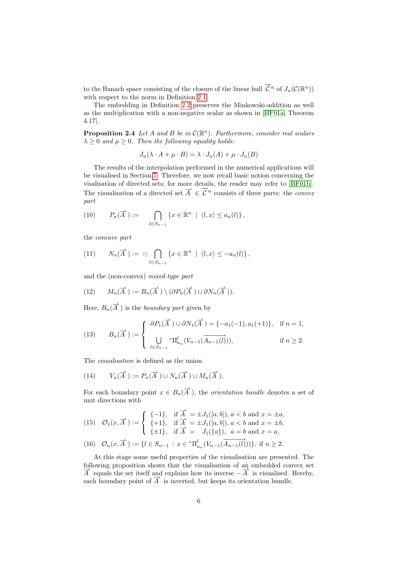to the Banach space consisting of the closure of the linear hull  $\vec{\mathcal{C}}^n$  of  $J_n(\mathcal{C}(\mathbb{R}^n))$ with respect to the norm in Definition [2.1.](#page-5-1)

The embedding in Definition [2.2](#page-6-0) preserves the Minkowski-addition as well as the multiplication with a non-negative scalar as shown in [\[BF01a,](#page-30-3) Theorem 4.17].

**Proposition 2.4** Let A and B be in  $\mathcal{C}(\mathbb{R}^n)$ . Furthermore, consider real scalars  $\lambda \geq 0$  and  $\mu \geq 0$ . Then the following equality holds:

$$
J_n(\lambda \cdot A + \mu \cdot B) = \lambda \cdot J_n(A) + \mu \cdot J_n(B)
$$

The results of the interpolation performed in the numerical applications will be visualised in Section [7.](#page-22-0) Therefore, we now recall basic notion concerning the visalisation of directed sets; for more details, the reader may refer to [\[BF01b\]](#page-30-4). The visualisation of a directed set  $\overrightarrow{A} \in \overrightarrow{C}^n$  consists of three parts: the *convex* part

(10) 
$$
P_n(\overrightarrow{A}) := \bigcap_{l \in S_{n-1}} \{x \in \mathbb{R}^n \mid \langle l, x \rangle \leq a_n(l)\},
$$

the concave part

(11) 
$$
N_n(\overrightarrow{A}) := \ominus \bigcap_{l \in S_{n-1}} \{x \in \mathbb{R}^n \mid \langle l, x \rangle \leq -a_n(l)\},
$$

and the (non-convex) mixed-type part

(12) 
$$
M_n(\overrightarrow{A}) := B_n(\overrightarrow{A}) \setminus (\partial P_n(\overrightarrow{A}) \cup \partial N_n(\overrightarrow{A})).
$$

Here,  $B_n(\overrightarrow{A})$  is the *boundary part* given by

(13) 
$$
B_n(\overrightarrow{A}) := \begin{cases} \partial P_1(\overrightarrow{A}) \cup \partial N_1(\overrightarrow{A}) = \{-a_1(-1), a_1(+1)\}, & \text{if } n = 1, \\ \bigcup_{l \in S_{n-1}} {^*\Pi_{a_n}^l(V_{n-1}(\overrightarrow{A_{n-1}(l)})), & \text{if } n \geq 2.} \end{cases}
$$

The visualisation is defined as the union

<span id="page-7-0"></span>(14) 
$$
V_n(\overrightarrow{A}) := P_n(\overrightarrow{A}) \cup N_n(\overrightarrow{A}) \cup M_n(\overrightarrow{A}).
$$

For each boundary point  $x \in B_n(\overrightarrow{A})$ , the *orientation bundle* denotes a set of unit directions with

(15) 
$$
\mathcal{O}_1(x, \overrightarrow{A}) := \begin{cases} \{-1\}, & \text{if } \overrightarrow{A} = \pm J_1([a, b]), a < b \text{ and } x = \pm a, \\ \{+1\}, & \text{if } \overrightarrow{A} = \pm J_1([a, b]), a < b \text{ and } x = \pm b, \\ \{\pm 1\}, & \text{if } \overrightarrow{A} = J_1(\{a\}), & a = b \text{ and } x = a, \end{cases}
$$
  
(16) 
$$
\mathcal{O}_n(x, \overrightarrow{A}) := \{l \in S_{n-1} : x \in {^*}\Pi_{a_n}^l(V_{n-1}(\overrightarrow{A_{n-1}(l)}))\}, \text{ if } n \geq 2.
$$

<span id="page-7-1"></span>At this stage some useful properties of the visualisation are presented. The following proposition shows that the visualisation of an embedded convex set  $\overline{A}$  equals the set itself and explains how its inverse  $-\overline{A}$  is visualised. Hereby, each boundary point of  $\overrightarrow{A}$  is inverted, but keeps its orientation bundle.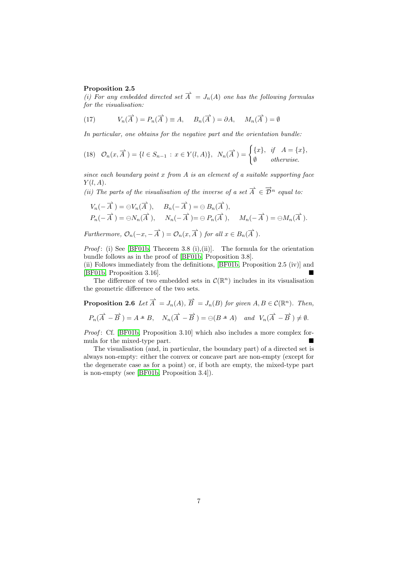#### Proposition 2.5

(i) For any embedded directed set  $\overrightarrow{A} = J_n(A)$  one has the following formulas for the visualisation:

(17) 
$$
V_n(\overrightarrow{A}) = P_n(\overrightarrow{A}) \equiv A, \quad B_n(\overrightarrow{A}) = \partial A, \quad M_n(\overrightarrow{A}) = \emptyset
$$

In particular, one obtains for the negative part and the orientation bundle:

(18) 
$$
\mathcal{O}_n(x, \overrightarrow{A}) = \{l \in S_{n-1} : x \in Y(l, A)\}, \ N_n(\overrightarrow{A}) = \begin{cases} \{x\}, & \text{if } A = \{x\}, \\ \emptyset & \text{otherwise.} \end{cases}
$$

since each boundary point  $x$  from  $A$  is an element of a suitable supporting face  $Y(l, A)$ .

(ii) The parts of the visualisation of the inverse of a set  $\overrightarrow{A} \in \overrightarrow{D}^n$  equal to:

$$
V_n(-\overrightarrow{A}) = \ominus V_n(\overrightarrow{A}), \qquad B_n(-\overrightarrow{A}) = \ominus B_n(\overrightarrow{A}),
$$
  
\n
$$
P_n(-\overrightarrow{A}) = \ominus N_n(\overrightarrow{A}), \qquad N_n(-\overrightarrow{A}) = \ominus P_n(\overrightarrow{A}), \qquad M_n(-\overrightarrow{A}) = \ominus M_n(\overrightarrow{A}).
$$

Furthermore,  $\mathcal{O}_n(-x, -\overrightarrow{A}) = \mathcal{O}_n(x, \overrightarrow{A})$  for all  $x \in B_n(\overrightarrow{A})$ .

*Proof*: (i) See [\[BF01b,](#page-30-4) Theorem 3.8 (i),(ii)]. The formula for the orientation bundle follows as in the proof of [\[BF01b,](#page-30-4) Proposition 3.8].

(ii) Follows immediately from the definitions, [\[BF01b,](#page-30-4) Proposition 2.5 (iv)] and [\[BF01b,](#page-30-4) Proposition 3.16].

The difference of two embedded sets in  $\mathcal{C}(\mathbb{R}^n)$  includes in its visualisation the geometric difference of the two sets.

<span id="page-8-0"></span>**Proposition 2.6** Let 
$$
\overrightarrow{A} = J_n(A)
$$
,  $\overrightarrow{B} = J_n(B)$  for given  $A, B \in C(\mathbb{R}^n)$ . Then,  
 $P_n(\overrightarrow{A} - \overrightarrow{B}) = A * B$ ,  $N_n(\overrightarrow{A} - \overrightarrow{B}) = \ominus(B * A)$  and  $V_n(\overrightarrow{A} - \overrightarrow{B}) \neq \emptyset$ .

Proof: Cf. [\[BF01b,](#page-30-4) Proposition 3.10] which also includes a more complex formula for the mixed-type part.

The visualisation (and, in particular, the boundary part) of a directed set is always non-empty: either the convex or concave part are non-empty (except for the degenerate case as for a point) or, if both are empty, the mixed-type part is non-empty (see [\[BF01b,](#page-30-4) Proposition 3.4]).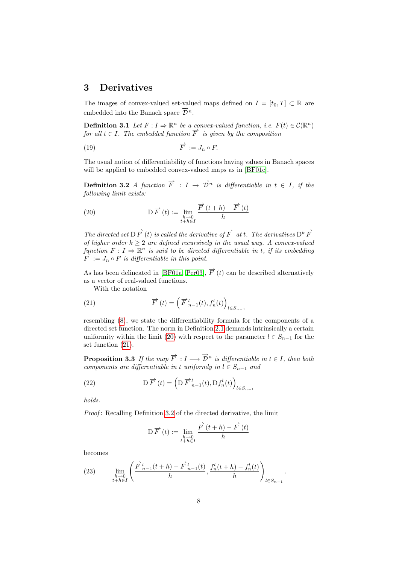## 3 Derivatives

The images of convex-valued set-valued maps defined on  $I = [t_0, T] \subset \mathbb{R}$  are embedded into the Banach space  $\overrightarrow{\mathcal{D}}^n$ .

**Definition 3.1** Let  $F: I \Rightarrow \mathbb{R}^n$  be a convex-valued function, i.e.  $F(t) \in C(\mathbb{R}^n)$ **EXECUTE:**  $\overrightarrow{H}$  is the understandard function, i.e. 1 for all  $t \in I$ . The embedded function  $\overrightarrow{F}$  is given by the composition

$$
\overrightarrow{F} := J_n \circ F.
$$

The usual notion of differentiability of functions having values in Banach spaces will be applied to embedded convex-valued maps as in [\[BF01c\]](#page-30-5).

<span id="page-9-2"></span><span id="page-9-0"></span>**Definition 3.2** A function  $\overrightarrow{F}$  :  $I \rightarrow \overrightarrow{D}^n$  is differentiable in  $t \in I$ , if the following limit exists:

(20) 
$$
\mathcal{D}\overrightarrow{F}(t) := \lim_{\substack{h \to 0 \\ t+h \in I}} \frac{\overrightarrow{F}(t+h) - \overrightarrow{F}(t)}{h}
$$

The directed set  $\overrightarrow{D} \overrightarrow{F}$  (t) is called the derivative of  $\overrightarrow{F}$  at t. The derivatives  $D^k \overrightarrow{F}$ of higher order  $k \geq 2$  are defined recursively in the usual way. A convex-valued function  $F: I \Rightarrow \mathbb{R}^n$  is said to be directed differentiable in t, if its embedding  $\overline{F} := J_n \circ F$  is differentiable in this point.

As has been delineated in [\[BF01a,](#page-30-3) [Per03\]](#page-33-7),  $\vec{F}(t)$  can be described alternatively as a vector of real-valued functions.

<span id="page-9-1"></span>With the notation

(21) 
$$
\overrightarrow{F}(t) = \left(\overrightarrow{F}_{n-1}^{l}(t), f_{n}^{l}(t)\right)_{l \in S_{n-1}}
$$

resembling [\(8\)](#page-6-1), we state the differentiability formula for the components of a directed set function. The norm in Definition [2.1](#page-5-1) demands intrinsically a certain uniformity within the limit [\(20\)](#page-9-0) with respect to the parameter  $l \in S_{n-1}$  for the set function [\(21\)](#page-9-1).

<span id="page-9-4"></span>**Proposition 3.3** If the map  $\overrightarrow{F} : I \longrightarrow \overrightarrow{D}^n$  is differentiable in  $t \in I$ , then both components are differentiable in t uniformly in  $l \in S_{n-1}$  and

(22) 
$$
\mathcal{D}\overrightarrow{F}(t) = \left(\mathcal{D}\overrightarrow{F}_{n-1}^{l}(t), \mathcal{D}f_{n}^{l}(t)\right)_{l \in S_{n-1}}
$$

holds.

Proof: Recalling Definition [3.2](#page-9-2) of the directed derivative, the limit

$$
\mathrm{D}\overrightarrow{F}(t) := \lim_{\substack{h \to 0 \\ t+h \in I}} \frac{\overrightarrow{F}(t+h) - \overrightarrow{F}(t)}{h}
$$

becomes

<span id="page-9-3"></span>
$$
(23) \qquad \lim_{\begin{subarray}{c}h \to 0 \\ t + h \in I\end{subarray}} \left( \frac{\overrightarrow{F}\,{}^l_{n-1}(t+h) - \overrightarrow{F}\,{}^l_{n-1}(t)}{h}, \frac{f^l_{n}(t+h) - f^l_{n}(t)}{h}\right)_{l \in S_{n-1}}.
$$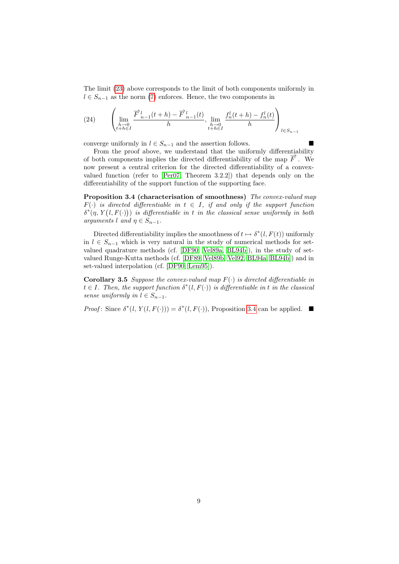The limit [\(23\)](#page-9-3) above corresponds to the limit of both components uniformly in  $l \in S_{n-1}$  as the norm [\(7\)](#page-5-0) enforces. Hence, the two components in

(24) 
$$
\left(\lim_{\substack{h \to 0 \\ t+h \in I}} \frac{\overrightarrow{F}_{n-1}^l(t+h) - \overrightarrow{F}_{n-1}^l(t)}{h}, \lim_{\substack{h \to 0 \\ t+h \in I}} \frac{f_n^l(t+h) - f_n^l(t)}{h}\right)_{l \in S_{n-1}}
$$

converge uniformly in  $l \in S_{n-1}$  and the assertion follows.

From the proof above, we understand that the uniformly differentiability of both components implies the directed differentiability of the map  $\overrightarrow{F}$ . We now present a central criterion for the directed differentiability of a convexvalued function (refer to [\[Per07,](#page-33-4) Theorem 3.2.2]) that depends only on the differentiability of the support function of the supporting face.

<span id="page-10-0"></span>Proposition 3.4 (characterisation of smoothness) The convex-valued map  $F(\cdot)$  is directed differentiable in  $t \in I$ , if and only if the support function  $\delta^*(\eta, Y(l, F(\cdot)))$  is differentiable in t in the classical sense uniformly in both arguments l and  $\eta \in S_{n-1}$ .

Directed differentiability implies the smoothness of  $t \mapsto \delta^*(l, F(t))$  uniformly in  $l \text{ } \in S_{n-1}$  which is very natural in the study of numerical methods for setvalued quadrature methods (cf. [\[DF90,](#page-31-4) [Vel89a,](#page-34-7) [BL94b\]](#page-30-7)), in the study of setvalued Runge-Kutta methods (cf. [\[DF89,](#page-31-7) [Vel89b,](#page-34-8) [Vel92,](#page-34-9) [BL94a,](#page-30-8) [BL94b\]](#page-30-7)) and in set-valued interpolation (cf. [\[DF90,](#page-31-4) [Lem95\]](#page-32-8)).

**Corollary 3.5** Suppose the convex-valued map  $F(\cdot)$  is directed differentiable in  $t \in I$ . Then, the support function  $\delta^*(l, F(\cdot))$  is differentiable in t in the classical sense uniformly in  $l \in S_{n-1}$ .

*Proof*: Since  $\delta^*(l, Y(l, F(\cdot))) = \delta^*(l, F(\cdot))$ , Proposition [3.4](#page-10-0) can be applied.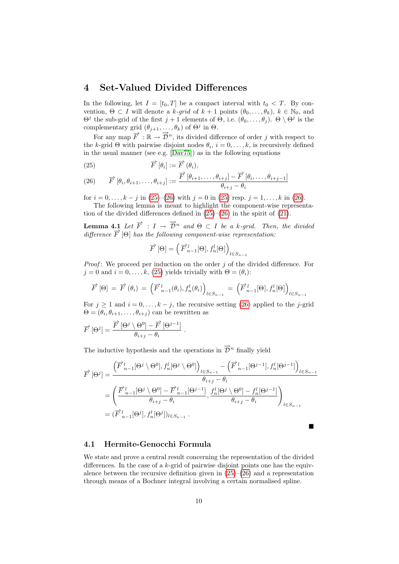# <span id="page-11-0"></span>4 Set-Valued Divided Differences

In the following, let  $I = [t_0, T]$  be a compact interval with  $t_0 < T$ . By convention,  $\Theta \subset I$  will denote a  $k$ -grid of  $k + 1$  points  $(\theta_0, \ldots, \theta_k)$ ,  $k \in \mathbb{N}_0$ , and  $\Theta^j$  the sub-grid of the first  $j+1$  elements of  $\Theta$ , i.e.  $(\theta_0,\ldots,\theta_j)$ .  $\Theta \setminus \Theta^j$  is the complementary grid  $(\theta_{j+1}, \ldots, \theta_k)$  of  $\Theta^j$  in  $\Theta$ .

For any map  $\overrightarrow{F} : \mathbb{R} \to \overrightarrow{D}^n$ , its divided difference of order j with respect to the k-grid  $\Theta$  with pairwise disjoint nodes  $\theta_i$ ,  $i = 0, \ldots, k$ , is recursively defined in the usual manner (see e.g. [\[Dav75\]](#page-31-8)) as in the following equations

<span id="page-11-1"></span>(25) 
$$
\overrightarrow{F}[\theta_i] := \overrightarrow{F}(\theta_i),
$$

<span id="page-11-2"></span>(26) 
$$
\overrightarrow{F}[\theta_i, \theta_{i+1}, \ldots, \theta_{i+j}] := \frac{\overrightarrow{F}[\theta_{i+1}, \ldots, \theta_{i+j}] - \overrightarrow{F}[\theta_i, \ldots, \theta_{i+j-1}]}{\theta_{i+j} - \theta_i}
$$

for  $i = 0, ..., k - j$  in [\(25\)](#page-11-1)–[\(26\)](#page-11-2) with  $j = 0$  in (25) resp.  $j = 1, ..., k$  in (26).

The following lemma is meant to highlight the component-wise representation of the divided differences defined in  $(25)-(26)$  $(25)-(26)$  $(25)-(26)$  in the spirit of  $(21)$ .

**Lemma 4.1** Let  $\overrightarrow{F}$  :  $I \rightarrow \overrightarrow{D}^n$  and  $\Theta \subset I$  be a k-grid. Then, the divided  $\overrightarrow{d}$  difference  $\overrightarrow{F}$  [Θ] has the following component-wise representation:

<span id="page-11-4"></span>
$$
\overrightarrow{F}[\Theta] = \left(\overrightarrow{F}_{n-1}^l[\Theta], f_n^l[\Theta]\right)_{l \in S_{n-1}}
$$

*Proof*: We proceed per induction on the order  $j$  of the divided difference. For  $j = 0$  and  $i = 0, \ldots, k$ , [\(25\)](#page-11-1) yields trivially with  $\Theta = (\theta_i)$ :

$$
\overrightarrow{F}[\Theta] = \overrightarrow{F}(\theta_i) = (\overrightarrow{F}_{n-1}^l(\theta_i), f_n^l(\theta_i))_{l \in S_{n-1}} = (\overrightarrow{F}_{n-1}^l[\Theta], f_n^l[\Theta])_{l \in S_{n-1}}
$$

For  $j \ge 1$  and  $i = 0, \ldots, k - j$ , the recursive setting [\(26\)](#page-11-2) applied to the j-grid  $\Theta = (\theta_i, \theta_{i+1}, \dots, \theta_{i+j})$  can be rewritten as

$$
\overrightarrow{F}[\Theta^j] = \frac{\overrightarrow{F}[\Theta^j \setminus \Theta^0] - \overrightarrow{F}[\Theta^{j-1}]}{\theta_{i+j} - \theta_i}.
$$

The inductive hypothesis and the operations in  $\overrightarrow{\mathcal{D}}^n$  finally yield

$$
\overrightarrow{F}[\Theta^j] = \frac{\left(\overrightarrow{F}_{n-1}^l[\Theta^j \setminus \Theta^0], f_n^l[\Theta^j \setminus \Theta^0]\right)_{l \in S_{n-1}} - \left(\overrightarrow{F}_{n-1}^l[\Theta^{j-1}], f_n^l[\Theta^{j-1}]\right)_{l \in S_{n-1}}}{\theta_{i+j} - \theta_i}
$$
\n
$$
= \left(\frac{\overrightarrow{F}_{n-1}^l[\Theta^j \setminus \Theta^0] - \overrightarrow{F}_{n-1}^l[\Theta^{j-1}]}{\theta_{i+j} - \theta_i}, \frac{f_n^l[\Theta^j \setminus \Theta^0] - f_n^l[\Theta^{j-1}]}{\theta_{i+j} - \theta_i}\right)_{l \in S_{n-1}}
$$
\n
$$
= (\overrightarrow{F}_{n-1}^l[\Theta^j], f_n^l[\Theta^j])_{l \in S_{n-1}}.
$$

<span id="page-11-3"></span> $\blacksquare$ 

### 4.1 Hermite-Genocchi Formula

We state and prove a central result concerning the representation of the divided differences. In the case of a  $k$ -grid of pairwise disjoint points one has the equivalence between the recursive definition given in  $(25)-(26)$  $(25)-(26)$  $(25)-(26)$  and a representation through means of a Bochner integral involving a certain normalised spline.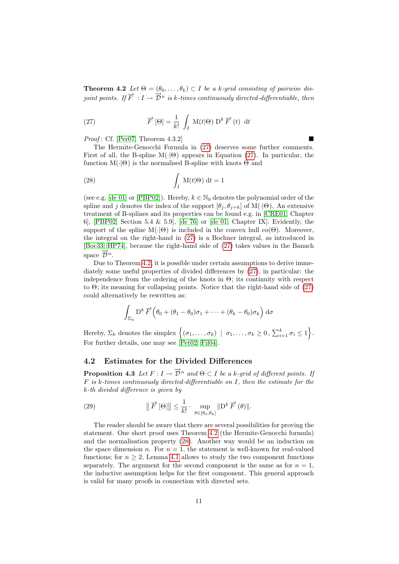**Theorem 4.2** Let  $\Theta = (\theta_0, \ldots, \theta_k) \subset I$  be a k-grid consisting of pairwise disjoint points. If  $\overline{F}$  :  $I \rightarrow \overline{D}^{n}$  is k-times continuously directed-differentiable, then

<span id="page-12-0"></span>(27) 
$$
\overrightarrow{F}[\Theta] = \frac{1}{k!} \int_{I} M(t|\Theta) D^{k} \overrightarrow{F}(t) dt
$$

*Proof*: Cf. [\[Per07,](#page-33-4) Theorem  $4.3.2$ ]

The Hermite-Genocchi Formula in [\(27\)](#page-12-0) deserves some further comments. First of all, the B-spline  $M(\cdot|\Theta)$  appears in Equation [\(27\)](#page-12-0). In particular, the function  $M(\cdot|\Theta)$  is the normalised B-spline with knots  $\Theta$  and

(28) 
$$
\int_{I} M(t|\Theta) dt = 1
$$

(see e.g. [\[de 01\]](#page-31-9) or [\[PBP02\]](#page-33-8)). Hereby,  $k \in \mathbb{N}_0$  denotes the polynomial order of the spline and j denotes the index of the support  $[\theta_j, \theta_{j+k}]$  of  $M(\cdot | \Theta)$ . An extensive treatment of B-splines and its properties can be found e.g. in [\[CRE01,](#page-31-10) Chapter 6], [\[PBP02,](#page-33-8) Section 5.4 & 5.9], [\[de 76\]](#page-31-11) or [\[de 01,](#page-31-9) Chapter IX]. Evidently, the support of the spline  $M(\cdot|\Theta)$  is included in the convex hull co( $\Theta$ ). Moreover, the integral on the right-hand in [\(27\)](#page-12-0) is a Bochner integral, as introduced in [\[Boc33,](#page-30-9) [HP74\]](#page-32-9), because the right-hand side of [\(27\)](#page-12-0) takes values in the Banach  $\overrightarrow{\mathcal{D}}^{n}$ .

Due to Theorem [4.2,](#page-11-3) it is possible under certain assumptions to derive immediately some useful properties of divided differences by [\(27\)](#page-12-0), in particular: the independence from the ordering of the knots in  $\Theta$ ; its continuity with respect to Θ; its meaning for collapsing points. Notice that the right-hand side of [\(27\)](#page-12-0) could alternatively be rewritten as:

$$
\int_{\Sigma_k} D^k \overrightarrow{F} \left( \theta_0 + (\theta_1 - \theta_0) \sigma_1 + \cdots + (\theta_k - \theta_0) \sigma_k \right) d\sigma
$$

Hereby,  $\Sigma_k$  denotes the simplex  $\left\{(\sigma_1,\ldots,\sigma_k) \mid \sigma_1,\ldots,\sigma_k \geq 0, \sum_{i=1}^k \sigma_i \leq 1\right\}$ . For further details, one may see [\[Pet02,](#page-33-6) [Fil04\]](#page-31-5).

### 4.2 Estimates for the Divided Differences

<span id="page-12-2"></span>**Proposition 4.3** Let  $F: I \to \overrightarrow{\mathcal{D}}^n$  and  $\Theta \subset I$  be a k-grid of different points. If  $F$  is k-times continuously directed-differentiable on  $I$ , then the estimate for the k-th divided difference is given by

(29) 
$$
\|\vec{F}[\Theta]\| \leq \frac{1}{k!} \cdot \sup_{\theta \in [\theta_0, \theta_k]} \|D^k \vec{F}(\theta)\|.
$$

The reader should be aware that there are several possibilities for proving the statement. One short proof uses Theorem [4.2](#page-11-3) (the Hermite-Genocchi formula) and the normalisation property [\(28\)](#page-12-1). Another way would be an induction on the space dimension n. For  $n = 1$ , the statement is well-known for real-valued functions; for  $n \geq 2$ , Lemma [4.1](#page-11-4) allows to study the two component functions separately. The argument for the second component is the same as for  $n = 1$ , the inductive assumption helps for the first component. This general approach is valid for many proofs in connection with directed sets.

<span id="page-12-1"></span>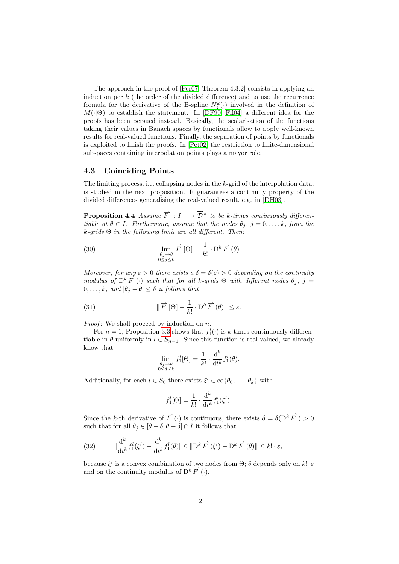The approach in the proof of [\[Per07,](#page-33-4) Theorem 4.3.2] consists in applying an induction per  $k$  (the order of the divided difference) and to use the recurrence formula for the derivative of the B-spline  $N_j^k(\cdot)$  involved in the definition of  $M(\cdot|\Theta)$  to establish the statement. In [\[DF90,](#page-31-4) [Fil04\]](#page-31-5) a different idea for the proofs has been persued instead. Basically, the scalarisation of the functions taking their values in Banach spaces by functionals allow to apply well-known results for real-valued functions. Finally, the separation of points by functionals is exploited to finish the proofs. In [\[Pet02\]](#page-33-6) the restriction to finite-dimensional subspaces containing interpolation points plays a mayor role.

### 4.3 Coinciding Points

The limiting process, i.e. collapsing nodes in the  $k$ -grid of the interpolation data, is studied in the next proposition. It guarantees a continuity property of the divided differences generalising the real-valued result, e.g. in [\[DH03\]](#page-31-12).

<span id="page-13-2"></span>**Proposition 4.4** Assume  $\overrightarrow{F}$  :  $I \longrightarrow \overrightarrow{D}^n$  to be k-times continuously differentiable at  $\theta \in I$ . Furthermore, assume that the nodes  $\theta_i$ ,  $j = 0, \ldots, k$ , from the  $k$ -grids  $\Theta$  in the following limit are all different. Then:

(30) 
$$
\lim_{\begin{subarray}{c} \theta_j \to \theta \\ 0 \le j \le k \end{subarray}} \overrightarrow{F} [\Theta] = \frac{1}{k!} \cdot D^k \overrightarrow{F} (\theta)
$$

Moreover, for any  $\varepsilon > 0$  there exists a  $\delta = \delta(\varepsilon) > 0$  depending on the continuity moreover, for any  $\epsilon > 0$  were existent  $\alpha \circ - \delta(\epsilon) > 0$  depending on the continuity modulus of  $D^k \overline{F}(\cdot)$  such that for all k-grids  $\Theta$  with different nodes  $\theta_j$ ,  $j =$  $0, \ldots, k, \text{ and } |\theta_j - \theta| \leq \delta \text{ it follows that}$ 

(31) 
$$
\|\overrightarrow{F}[\Theta] - \frac{1}{k!} \cdot D^k \overrightarrow{F}(\theta)\| \le \varepsilon.
$$

*Proof*: We shall proceed by induction on  $n$ .

For  $n = 1$ , Proposition [3.3](#page-9-4) shows that  $f_1^l(\cdot)$  is k-times continuously differentiable in  $\theta$  uniformly in  $l \in S_{n-1}$ . Since this function is real-valued, we already know that

<span id="page-13-1"></span>
$$
\lim_{\substack{\theta_j \to \theta \\ 0 \le j \le k}} f_1^l[\Theta] = \frac{1}{k!} \cdot \frac{\mathrm{d}^k}{\mathrm{d}t^k} f_1^l(\theta).
$$

Additionally, for each  $l \in S_0$  there exists  $\xi^l \in \text{co}\{\theta_0, \dots, \theta_k\}$  with

$$
f_1^l[\Theta] = \frac{1}{k!} \cdot \frac{\mathrm{d}^k}{\mathrm{d}t^k} f_1^l(\xi^l).
$$

Since the k-th derivative of  $\vec{F}(\cdot)$  is continuous, there exists  $\delta = \delta(D^k \vec{F}) > 0$ such that for all  $\theta_j \in [\theta - \delta, \theta + \delta] \cap I$  it follows that

<span id="page-13-0"></span>(32) 
$$
|\frac{\mathrm{d}^k}{\mathrm{d}t^k} f_1^l(\xi^l) - \frac{\mathrm{d}^k}{\mathrm{d}t^k} f_1^l(\theta)| \le ||\mathrm{D}^k \overrightarrow{F}(\xi^l) - \mathrm{D}^k \overrightarrow{F}(\theta)|| \le k! \cdot \varepsilon,
$$

because  $\xi^l$  is a convex combination of two nodes from  $\Theta$ ;  $\delta$  depends only on  $k! \cdot \varepsilon$ and on the continuity modulus of  $D^k \overrightarrow{F} (\cdot)$ .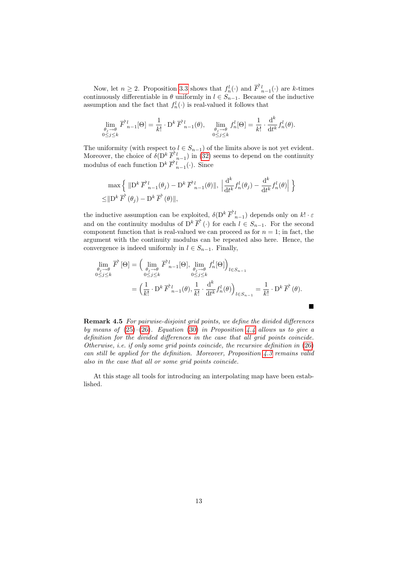Now, let  $n \geq 2$ . Proposition [3.3](#page-9-4) shows that  $f_n^l(\cdot)$  and  $\overrightarrow{F}_{n-1}^l(\cdot)$  are k-times continuously differentiable in  $\theta$  uniformly in  $l \in S_{n-1}$ . Because of the inductive assumption and the fact that  $f_n^l(\cdot)$  is real-valued it follows that

$$
\lim_{\substack{\theta_j \to \theta \\ 0 \le j \le k}} \overrightarrow{F}_{n-1}^l[\Theta] = \frac{1}{k!} \cdot D^k \overrightarrow{F}_{n-1}^l(\theta), \quad \lim_{\substack{\theta_j \to \theta \\ 0 \le j \le k}} f_n^l[\Theta] = \frac{1}{k!} \cdot \frac{d^k}{dt^k} f_n^l(\theta).
$$

The uniformity (with respect to  $l \in S_{n-1}$ ) of the limits above is not yet evident. Moreover, the choice of  $\delta(D^k \overline{F}_{n-1}^l)$  in [\(32\)](#page-13-0) seems to depend on the continuity modulus of each function  $D^k \overrightarrow{F}_{n-1}^{l-1}(\cdot)$ . Since

$$
\max \left\{ \|\mathbf{D}^k \overrightarrow{F}_{n-1}(\theta_j) - \mathbf{D}^k \overrightarrow{F}_{n-1}(\theta)\|, \left|\frac{\mathbf{d}^k}{\mathbf{d}t^k} f_n^l(\theta_j) - \frac{\mathbf{d}^k}{\mathbf{d}t^k} f_n^l(\theta)\right| \right\}
$$
  

$$
\leq \|\mathbf{D}^k \overrightarrow{F}(\theta_j) - \mathbf{D}^k \overrightarrow{F}(\theta)\|,
$$

the inductive assumption can be exploited,  $\delta(D^k \overrightarrow{F}_{n-1}^l)$  depends only on  $k! \cdot \varepsilon$ and on the continuity modulus of  $D^k \overrightarrow{F}(\cdot)$  for each  $l \in S_{n-1}$ . For the second component function that is real-valued we can proceed as for  $n = 1$ ; in fact, the argument with the continuity modulus can be repeated also here. Hence, the convergence is indeed uniformly in  $l \in S_{n-1}$ . Finally,

$$
\lim_{\substack{\theta_j \to \theta \\ 0 \le j \le k}} \overrightarrow{F} [\Theta] = \left( \lim_{\substack{\theta_j \to \theta \\ 0 \le j \le k}} \overrightarrow{F}_{n-1}^l [\Theta], \lim_{\substack{\theta_j \to \theta \\ 0 \le j \le k}} f_n^l [\Theta] \right)_{l \in S_{n-1}}
$$
\n
$$
= \left( \frac{1}{k!} \cdot \mathbf{D}^k \overrightarrow{F}_{n-1}^l (\theta), \frac{1}{k!} \cdot \frac{\mathbf{d}^k}{\mathbf{d}t^k} f_n^l (\theta) \right)_{l \in S_{n-1}} = \frac{1}{k!} \cdot \mathbf{D}^k \overrightarrow{F} (\theta).
$$

<span id="page-14-0"></span>Remark 4.5 For pairwise-disjoint grid points, we define the divided differences by means of  $(25)-(26)$  $(25)-(26)$  $(25)-(26)$ . Equation  $(30)$  in Proposition [4.4](#page-13-2) allows us to give a definition for the divided differences in the case that all grid points coincide. Otherwise, i.e. if only some grid points coincide, the recursive definition in [\(26\)](#page-11-2) can still be applied for the definition. Moreover, Proposition [4.3](#page-12-2) remains valid also in the case that all or some grid points coincide.

At this stage all tools for introducing an interpolating map have been established.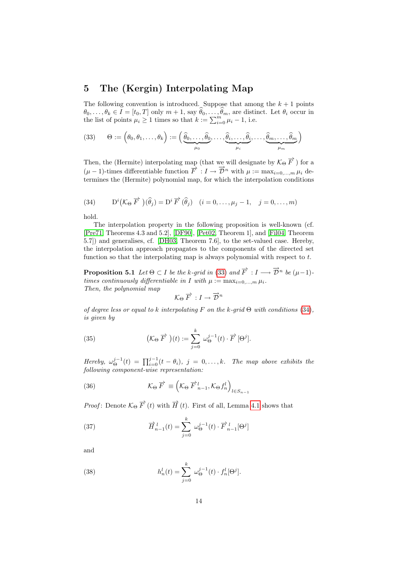# <span id="page-15-0"></span>5 The (Kergin) Interpolating Map

The following convention is introduced. Suppose that among the  $k + 1$  points  $\theta_0, \ldots, \theta_k \in I = [t_0, T]$  only  $m + 1$ , say  $\theta_0, \ldots, \theta_m$ , are distinct. Let  $\theta_i$  occur in the list of points  $\mu_i \ge 1$  times so that  $k := \sum_{i=0}^m \mu_i - 1$ , i.e.

<span id="page-15-1"></span>(33) 
$$
\Theta := \left(\theta_0, \theta_1, \dots, \theta_k\right) := \left(\underbrace{\widehat{\theta}_0, \dots, \widehat{\theta}_0}_{\mu_0}, \dots, \underbrace{\widehat{\theta}_i, \dots, \widehat{\theta}_i}_{\mu_i}, \dots, \underbrace{\widehat{\theta}_m, \dots, \widehat{\theta}_m}_{\mu_m}\right)
$$

Then, the (Hermite) interpolating map (that we will designate by  $\mathcal{K}_{\Theta} \overrightarrow{F}$ ) for a Then, the (Hermito) interpretating line function  $\overrightarrow{F}$  :  $I \rightarrow \overrightarrow{D}^n$  with  $\mu := \max_{i=0,...,m} \mu_i$  determines the (Hermite) polynomial map, for which the interpolation conditions

<span id="page-15-2"></span>(34) 
$$
D^{i}(\mathcal{K}_{\Theta}\overrightarrow{F})(\widehat{\theta}_{j})=D^{i}\overrightarrow{F}(\widehat{\theta}_{j}) \quad (i=0,\ldots,\mu_{j}-1, \quad j=0,\ldots,m)
$$

hold.

The interpolation property in the following proposition is well-known (cf. [\[Pre71,](#page-33-5) Theorems 4.3 and 5.2], [\[DF90\]](#page-31-4), [\[Pet02,](#page-33-6) Theorem 1], and [\[Fil04,](#page-31-5) Theorem 5.7]) and generalises, cf. [\[DH03,](#page-31-12) Theorem 7.6], to the set-valued case. Hereby, the interpolation approach propagates to the components of the directed set function so that the interpolating map is always polynomial with respect to t.

<span id="page-15-7"></span>**Proposition 5.1** Let  $\Theta \subset I$  be the k-grid in [\(33\)](#page-15-1) and  $\overrightarrow{F} : I \longrightarrow \overrightarrow{\mathcal{D}}^n$  be  $(\mu-1)$ times continuously differentiable in I with  $\mu := \max_{i=0,\dots,m} \mu_i$ . Then, the polynomial map

<span id="page-15-3"></span>
$$
\mathcal{K}_{\Theta}\overrightarrow{F}\,:I\rightarrow\overrightarrow{\mathcal{D}}^n
$$

<span id="page-15-6"></span>of degree less or equal to k interpolating F on the k-grid  $\Theta$  with conditions [\(34\)](#page-15-2), is given by

(35) 
$$
(\mathcal{K}_{\Theta}\overrightarrow{F})(t) := \sum_{j=0}^{k} \omega_{\Theta}^{j-1}(t) \cdot \overrightarrow{F}[\Theta^{j}].
$$

Hereby,  $\omega_{\Theta}^{j-1}(t) = \prod_{i=0}^{j-1} (t - \theta_i)$ ,  $j = 0, \ldots, k$ . The map above exhibits the following component-wise representation:

(36) 
$$
\mathcal{K}_{\Theta} \overrightarrow{F} \equiv \left( \mathcal{K}_{\Theta} \overrightarrow{F}_{n-1}^l, \mathcal{K}_{\Theta} f_n^l \right)_{l \in S_{n-1}}
$$

*Proof*: Denote  $\mathcal{K}_{\Theta}$   $\overrightarrow{F}(t)$  with  $\overrightarrow{H}(t)$ . First of all, Lemma [4.1](#page-11-4) shows that

<span id="page-15-4"></span>(37) 
$$
\overrightarrow{H}_{n-1}^l(t) = \sum_{j=0}^k \omega_{\Theta}^{j-1}(t) \cdot \overrightarrow{F}_{n-1}^l[\Theta^j]
$$

and

<span id="page-15-5"></span>(38) 
$$
h_n^l(t) = \sum_{j=0}^k \omega_{\Theta}^{j-1}(t) \cdot f_n^l[\Theta^j].
$$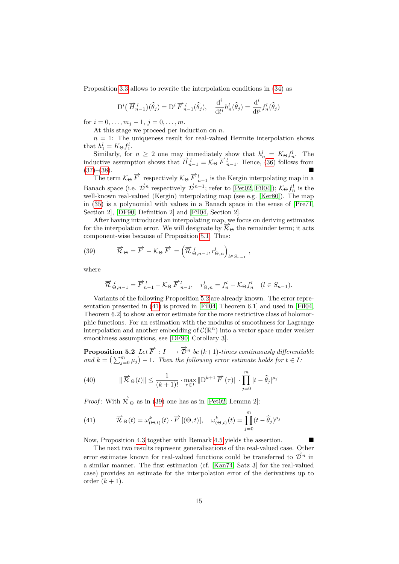Proposition [3.3](#page-9-4) allows to rewrite the interpolation conditions in [\(34\)](#page-15-2) as

$$
\mathcal{D}^i\big(\overrightarrow{H}_{n-1}^l\big)(\widehat{\theta}_j) = \mathcal{D}^i \overrightarrow{F}_{n-1}^l(\widehat{\theta}_j), \quad \frac{\mathrm{d}^i}{\mathrm{d}t^i} h_n^l(\widehat{\theta}_j) = \frac{\mathrm{d}^i}{\mathrm{d}t^i} f_n^l(\widehat{\theta}_j)
$$

for  $i = 0, \ldots, m_j - 1, j = 0, \ldots, m$ .

At this stage we proceed per induction on n.

 $n = 1$ : The uniqueness result for real-valued Hermite interpolation shows that  $h_1^l = K_{\Theta} f_1^l$ .

Similarly, for  $n \geq 2$  one may immediately show that  $h_n^l = K_{\Theta} f_n^l$ . The inductive assumption shows that  $\overrightarrow{H}_{n-1}^l = \mathcal{K}_{\Theta} \overrightarrow{F}_{n-1}^l$ . Hence, [\(36\)](#page-15-3) follows from [\(37\)](#page-15-4)–[\(38\)](#page-15-5).

The term  $K_{\Theta} \overrightarrow{F}$  respectively  $K_{\Theta} \overrightarrow{F}_{n-1}^l$  is the Kergin interpolating map in a<br>Banach space (i.e.  $\overrightarrow{D}^n$  respectively  $\overrightarrow{D}^{n-1}$ ; refer to [\[Pet02,](#page-33-6) [Fil04\]](#page-31-5));  $K_{\Theta} f_n^l$  is the well-known real-valued (Kergin) interpolating map (see e.g. [\[Ker80\]](#page-32-10)). The map in [\(35\)](#page-15-6) is a polynomial with values in a Banach space in the sense of [\[Pre71,](#page-33-5) Section 2], [\[DF90,](#page-31-4) Definition 2] and [\[Fil04,](#page-31-5) Section 2].

After having introduced an interpolating map, we focus on deriving estimates for the interpolation error. We will designate by  $\overline{\mathcal{R}}_{\Theta}$  the remainder term; it acts component-wise because of Proposition [5.1.](#page-15-7) Thus:

<span id="page-16-2"></span>(39) 
$$
\overrightarrow{\mathcal{R}}_{\Theta} = \overrightarrow{F} - \mathcal{K}_{\Theta} \overrightarrow{F} = \left( \overrightarrow{\mathcal{R}}_{\Theta,n-1}^{l}, r_{\Theta,n}^{l} \right)_{l \in S_{n-1}},
$$

where

<span id="page-16-0"></span>
$$
\overrightarrow{\mathcal{R}}_{\Theta,n-1}^l = \overrightarrow{F}_{n-1}^l - \mathcal{K}_{\Theta} \overrightarrow{F}_{n-1}^l, \quad r_{\Theta,n}^l = f_n^l - \mathcal{K}_{\Theta} f_n^l \quad (l \in S_{n-1}).
$$

Variants of the following Proposition [5.2](#page-16-0) are already known. The error representation presented in [\(41\)](#page-16-1) is proved in [\[Fil04,](#page-31-5) Theorem 6.1] and used in [\[Fil04,](#page-31-5) Theorem 6.2] to show an error estimate for the more restrictive class of holomorphic functions. For an estimation with the modulus of smoothness for Lagrange interpolation and another embedding of  $\mathcal{C}(\mathbb{R}^n)$  into a vector space under weaker smoothness assumptions, see [\[DF90,](#page-31-4) Corollary 3].

**Proposition 5.2** Let  $\overrightarrow{F}$  : I  $\longrightarrow \overrightarrow{D}^n$  be  $(k+1)$ -times continuously differentiable and  $k = \left(\sum_{j=0}^m \mu_j\right) - 1$ . Then the following error estimate holds for  $t \in I$ :

(40) 
$$
\|\overrightarrow{\mathcal{R}}_{\Theta}(t)\| \leq \frac{1}{(k+1)!} \cdot \max_{\tau \in I} \|D^{k+1}\overrightarrow{F}(\tau)\| \cdot \prod_{j=0}^{m} |t - \widehat{\theta}_j|^{\mu_j}
$$

*Proof*: With  $\overrightarrow{\mathcal{R}}_{\Theta}$  as in [\(39\)](#page-16-2) one has as in [\[Pet02,](#page-33-6) Lemma 2]:

<span id="page-16-1"></span>(41) 
$$
\overrightarrow{\mathcal{R}}_{\Theta}(t) = \omega_{(\Theta,t)}^k(t) \cdot \overrightarrow{F} [(\Theta,t)], \quad \omega_{(\Theta,t)}^k(t) = \prod_{j=0}^m (t - \widehat{\theta}_j)^{\mu_j}
$$

Now, Proposition [4.3](#page-12-2) together with Remark [4.5](#page-14-0) yields the assertion.

<span id="page-16-3"></span>The next two results represent generalisations of the real-valued case. Other error estimates known for real-valued functions could be transferred to  $\overrightarrow{\mathcal{D}}^n$  in a similar manner. The first estimation (cf. [\[Kan74,](#page-32-11) Satz 3] for the real-valued case) provides an estimate for the interpolation error of the derivatives up to order  $(k+1)$ .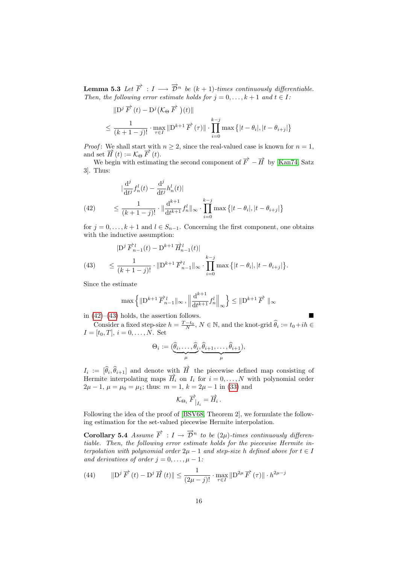**Lemma 5.3** Let  $\overrightarrow{F}$  :  $I \longrightarrow \overrightarrow{D}^n$  be  $(k + 1)$ -times continuously differentiable. Then, the following error estimate holds for  $j = 0, \ldots, k + 1$  and  $t \in I$ :

$$
\|D^j \overrightarrow{F}(t) - D^j \left(\mathcal{K}_{\Theta} \overrightarrow{F}\right)(t)\|
$$
  

$$
\leq \frac{1}{(k+1-j)!} \cdot \max_{\tau \in I} \|D^{k+1} \overrightarrow{F}(\tau)\| \cdot \prod_{i=0}^{k-j} \max \left\{|t - \theta_i|, |t - \theta_{i+j}|\right\}
$$

*Proof*: We shall start with  $n \geq 2$ , since the real-valued case is known for  $n = 1$ , and set  $\overrightarrow{H}(t) := \mathcal{K}_{\Theta} \overrightarrow{F}(t)$ .

We begin with estimating the second component of  $\overrightarrow{F} - \overrightarrow{H}$  by [\[Kan74,](#page-32-11) Satz 3]. Thus:

<span id="page-17-0"></span>(42) 
$$
|\frac{d^j}{dt^j} f_n^l(t) - \frac{d^j}{dt^j} h_n^l(t)|
$$

$$
\leq \frac{1}{(k+1-j)!} \cdot ||\frac{d^{k+1}}{dt^{k+1}} f_n^l||_{\infty} \cdot \prod_{i=0}^{k-j} \max \{|t - \theta_i|, |t - \theta_{i+j}|\}
$$

for  $j = 0, \ldots, k + 1$  and  $l \in S_{n-1}$ . Concerning the first component, one obtains with the inductive assumption:

<span id="page-17-1"></span>(43) 
$$
|D^j \overline{F}_{n-1}^l(t) - D^{k+1} \overline{H}_{n-1}^l(t)|
$$
  

$$
\leq \frac{1}{(k+1-j)!} \cdot ||D^{k+1} \overline{F}_{n-1}^l||_{\infty} \cdot \prod_{i=0}^{k-j} \max \{|t - \theta_i|, |t - \theta_{i+j}|\}.
$$

Since the estimate

$$
\max\left\{\|\mathbf{D}^{k+1}\overrightarrow{F}_{n-1}^l\|_{\infty}, \left\|\frac{\mathbf{d}^{k+1}}{\mathbf{d}t^{k+1}}f_n^l\right\|_{\infty}\right\} \le \|\mathbf{D}^{k+1}\overrightarrow{F}\|_{\infty}
$$

in  $(42)$ – $(43)$  holds, the assertion follows.

Consider a fixed step-size  $h = \frac{T-t_0}{N}$ ,  $N \in \mathbb{N}$ , and the knot-grid  $\widehat{\theta}_i := t_0 + ih \in \mathbb{N}$ .  $I = [t_0, T], i = 0, \ldots, N.$  Set

$$
\Theta_i := (\underbrace{\widehat{\theta}_i, \dots, \widehat{\theta}_i}_{\mu}, \underbrace{\widehat{\theta}_{i+1}, \dots, \widehat{\theta}_{i+1}}_{\mu}),
$$

 $I_i := [\hat{\theta}_i, \hat{\theta}_{i+1}]$  and denote with  $\overrightarrow{H}$  the piecewise defined map consisting of Hermite interpolating maps  $\overrightarrow{H}_i$  on  $I_i$  for  $i = 0, ..., N$  with polynomial order  $2\mu - 1$ ,  $\mu = \mu_0 = \mu_1$ ; thus:  $m = 1$ ,  $k = 2\mu - 1$  in [\(33\)](#page-15-1) and

<span id="page-17-2"></span>
$$
\mathcal{K}_{\Theta_i} \overrightarrow{F}_{|I_i} = \overrightarrow{H}_i.
$$

Following the idea of the proof of [\[BSV68,](#page-30-2) Theorem 2], we formulate the following estimation for the set-valued piecewise Hermite interpolation.

**Corollary 5.4** Assume  $\overrightarrow{F}$  :  $I \rightarrow \overrightarrow{D}^n$  to be  $(2\mu)$ -times continuously differentiable. Then, the following error estimate holds for the piecewise Hermite interpolation with polynomial order  $2\mu - 1$  and step-size h defined above for  $t \in I$ and derivatives of order  $j = 0, \ldots, \mu - 1$ :

(44) 
$$
\|D^j \overrightarrow{F}(t) - D^j \overrightarrow{H}(t)\| \leq \frac{1}{(2\mu - j)!} \cdot \max_{\tau \in I} \|D^{2\mu} \overrightarrow{F}(\tau)\| \cdot h^{2\mu - j}
$$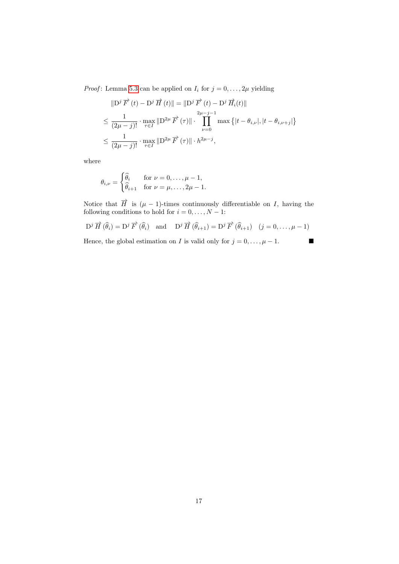*Proof*: Lemma [5.3](#page-16-3) can be applied on  $I_i$  for  $j = 0, \ldots, 2\mu$  yielding

$$
\|D^j \overrightarrow{F}(t) - D^j \overrightarrow{H}(t)\| = \|D^j \overrightarrow{F}(t) - D^j \overrightarrow{H}_i(t)\|
$$
  
\n
$$
\leq \frac{1}{(2\mu - j)!} \cdot \max_{\tau \in I} \|D^{2\mu} \overrightarrow{F}(\tau)\| \cdot \prod_{\nu=0}^{2\mu - j - 1} \max \{|t - \theta_{i,\nu}|, |t - \theta_{i,\nu+j}|\}
$$
  
\n
$$
\leq \frac{1}{(2\mu - j)!} \cdot \max_{\tau \in I} \|D^{2\mu} \overrightarrow{F}(\tau)\| \cdot h^{2\mu - j},
$$

where

$$
\theta_{i,\nu} = \begin{cases} \widehat{\theta}_i & \text{for } \nu = 0, \dots, \mu - 1, \\ \widehat{\theta}_{i+1} & \text{for } \nu = \mu, \dots, 2\mu - 1. \end{cases}
$$

Notice that  $\overrightarrow{H}$  is  $(\mu - 1)$ -times continuously differentiable on I, having the following conditions to hold for  $i = 0, \ldots, N - 1$ :

$$
D^j \overrightarrow{H} (\widehat{\theta}_i) = D^j \overrightarrow{F} (\widehat{\theta}_i) \text{ and } D^j \overrightarrow{H} (\widehat{\theta}_{i+1}) = D^j \overrightarrow{F} (\widehat{\theta}_{i+1}) (j = 0, ..., \mu - 1)
$$

Hence, the global estimation on I is valid only for  $j = 0, \ldots, \mu - 1$ .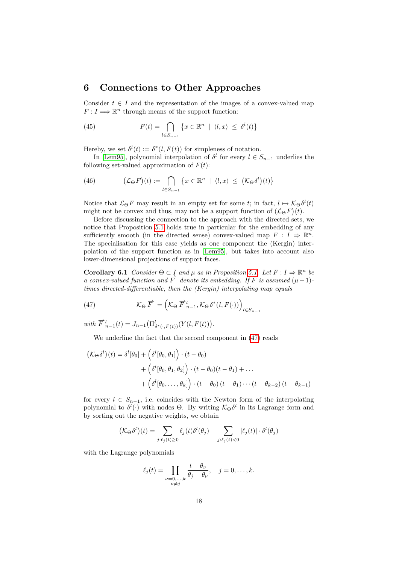### <span id="page-19-0"></span>6 Connections to Other Approaches

Consider  $t \in I$  and the representation of the images of a convex-valued map  $F: I \Longrightarrow \mathbb{R}^n$  through means of the support function:

(45) 
$$
F(t) = \bigcap_{l \in S_{n-1}} \{x \in \mathbb{R}^n \mid \langle l, x \rangle \leq \delta^l(t) \}
$$

Hereby, we set  $\delta^{l}(t) := \delta^{*}(l, F(t))$  for simpleness of notation.

In [\[Lem95\]](#page-32-8), polynomial interpolation of  $\delta^l$  for every  $l \in S_{n-1}$  underlies the following set-valued approximation of  $F(t)$ :

(46) 
$$
(\mathcal{L}_{\Theta} F)(t) := \bigcap_{l \in S_{n-1}} \{x \in \mathbb{R}^n \mid \langle l, x \rangle \leq (\mathcal{K}_{\Theta} \delta^l)(t) \}
$$

Notice that  $\mathcal{L}_{\Theta} F$  may result in an empty set for some t; in fact,  $l \mapsto \mathcal{K}_{\Theta} \delta^{l}(t)$ might not be convex and thus, may not be a support function of  $(\mathcal{L}_{\Theta} F)(t)$ .

Before discussing the connection to the approach with the directed sets, we notice that Proposition [5.1](#page-15-7) holds true in particular for the embedding of any sufficiently smooth (in the directed sense) convex-valued map  $F: I \Rightarrow \mathbb{R}^n$ . The specialisation for this case yields as one component the (Kergin) interpolation of the support function as in [\[Lem95\]](#page-32-8), but takes into account also lower-dimensional projections of support faces.

<span id="page-19-2"></span>**Corollary 6.1** Consider  $\Theta \subset I$  and  $\mu$  as in Proposition [5.1.](#page-15-7) Let  $F: I \Rightarrow \mathbb{R}^n$  be a convex-valued function and  $\overline{F}$  denote its embedding. If F is assumed  $(\mu - 1)$ times directed-differentiable, then the (Kergin) interpolating map equals

(47) 
$$
\mathcal{K}_{\Theta} \overrightarrow{F} = \left( \mathcal{K}_{\Theta} \overrightarrow{F}_{n-1}^l, \mathcal{K}_{\Theta} \delta^*(l, F(\cdot)) \right)_{l \in S_{n-1}}
$$

with  $\overrightarrow{F}_{n-1}^l(t) = J_{n-1}(\Pi_{\delta^*(\cdot, F(t))}^l(Y(l, F(t)))$ .

<span id="page-19-1"></span>We underline the fact that the second component in [\(47\)](#page-19-1) reads

$$
(\mathcal{K}_{\Theta} \delta^{l})(t) = \delta^{l}[\theta_{0}] + (\delta^{l}[\theta_{0}, \theta_{1}]) \cdot (t - \theta_{0})
$$
  
+ 
$$
(\delta^{l}[\theta_{0}, \theta_{1}, \theta_{2}]) \cdot (t - \theta_{0})(t - \theta_{1}) + ...
$$
  
+ 
$$
(\delta^{l}[\theta_{0}, ..., \theta_{k}]) \cdot (t - \theta_{0}) (t - \theta_{1}) \cdots (t - \theta_{k-2}) (t - \theta_{k-1})
$$

for every  $l \in S_{n-1}$ , i.e. coincides with the Newton form of the interpolating polynomial to  $\delta^l(\cdot)$  with nodes  $\Theta$ . By writing  $\mathcal{K}_{\Theta} \delta^l$  in its Lagrange form and by sorting out the negative weights, we obtain

$$
(\mathcal{K}_{\Theta} \delta^l)(t) = \sum_{j:\ell_j(t)\geq 0} \ell_j(t) \delta^l(\theta_j) - \sum_{j:\ell_j(t)\leq 0} |\ell_j(t)| \cdot \delta^l(\theta_j)
$$

with the Lagrange polynomials

$$
\ell_j(t) = \prod_{\substack{\nu=0,\ldots,k \\ \nu \neq j}} \frac{t - \theta_{\nu}}{\theta_j - \theta_{\nu}}, \quad j = 0,\ldots,k.
$$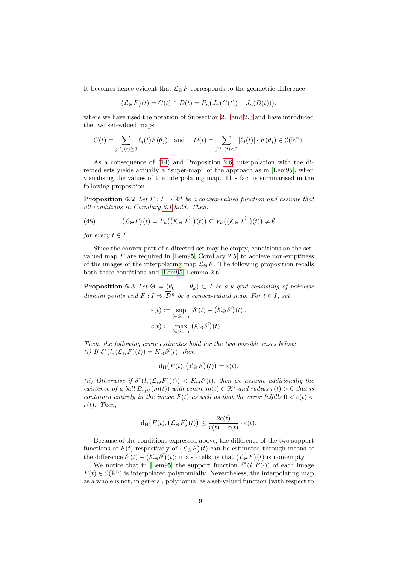It becomes hence evident that  $\mathcal{L}_{\Theta} F$  corresponds to the geometric difference

$$
(\mathcal{L}_{\Theta} F)(t) = C(t) * D(t) = P_n \big( J_n(C(t)) - J_n(D(t)) \big),
$$

where we have used the notation of Subsection [2.1](#page-4-1) and [2.3](#page-6-2) and have introduced the two set-valued maps

$$
C(t) = \sum_{j:\ell_j(t)\geq 0} \ell_j(t) F(\theta_j) \quad \text{and} \quad D(t) = \sum_{j:\ell_j(t)< 0} |\ell_j(t)| \cdot F(\theta_j) \in C(\mathbb{R}^n).
$$

As a consequence of [\(14\)](#page-7-0) and Proposition [2.6,](#page-8-0) interpolation with the directed sets yields actually a "super-map" of the approach as in [\[Lem95\]](#page-32-8), when visualising the values of the interpolating map. This fact is summarised in the following proposition.

<span id="page-20-1"></span>**Proposition 6.2** Let  $F: I \Rightarrow \mathbb{R}^n$  be a convex-valued function and assume that all conditions in Corollary [6.1](#page-19-2) hold. Then:

(48) 
$$
(\mathcal{L}_{\Theta} F)(t) = P_n((\mathcal{K}_{\Theta} \overrightarrow{F})(t)) \subseteq V_n((\mathcal{K}_{\Theta} \overrightarrow{F})(t)) \neq \emptyset
$$

for every  $t \in I$ .

Since the convex part of a directed set may be empty, conditions on the setvalued map  $F$  are required in [\[Lem95,](#page-32-8) Corollary 2.5] to achieve non-emptiness of the images of the interpolating map  $\mathcal{L}_{\Theta}F$ . The following proposition recalls both these conditions and [\[Lem95,](#page-32-8) Lemma 2.6].

<span id="page-20-0"></span>**Proposition 6.3** Let  $\Theta = (\theta_0, \ldots, \theta_k) \subset I$  be a k-grid consisting of pairwise disjoint points and  $F: I \Rightarrow \overrightarrow{D}^n$  be a convex-valued map. For  $t \in I$ , set

$$
\varepsilon(t) := \sup_{l \in S_{n-1}} |\delta^l(t) - (\mathcal{K}_{\Theta} \delta^l)(t)|,
$$
  

$$
c(t) := \max_{l \in S_{n-1}} (\mathcal{K}_{\Theta} \delta^l)(t)
$$

Then, the following error estimates hold for the two possible cases below: (i) If  $\delta^*(l,(\mathcal{L}_{\Theta}F)(t)) = K_{\Theta} \delta^l(t)$ , then

$$
d_H(F(t), (\mathcal{L}_{\Theta} F)(t)) = \varepsilon(t).
$$

(ii) Otherwise if  $\delta^*(l,(\mathcal{L}_{\Theta}F)(t)) < K_{\Theta} \delta^l(t)$ , then we assume additionally the existence of a ball  $B_{r(t)}(m(t))$  with centre  $m(t) \in \mathbb{R}^n$  and radius  $r(t) > 0$  that is contained entirely in the image  $F(t)$  as well as that the error fulfills  $0 < \varepsilon(t)$  $r(t)$ . Then,

$$
d_H(F(t), (\mathcal{L}_{\Theta} F)(t)) \leq \frac{2c(t)}{r(t) - \varepsilon(t)} \cdot \varepsilon(t).
$$

Because of the conditions expressed above, the difference of the two support functions of  $F(t)$  respectively of  $(\mathcal{L}_{\Theta} F)(t)$  can be estimated through means of the difference  $\delta^l(t) - (\mathcal{K}_{\Theta} \delta^l)(t)$ ; it also tells us that  $(\mathcal{L}_{\Theta} F)(t)$  is non-empty.

We notice that in [\[Lem95\]](#page-32-8) the support function  $\delta^*(l, F(\cdot))$  of each image  $F(t) \in \mathcal{C}(\mathbb{R}^n)$  is interpolated polynomially. Nevertheless, the interpolating map as a whole is not, in general, polynomial as a set-valued function (with respect to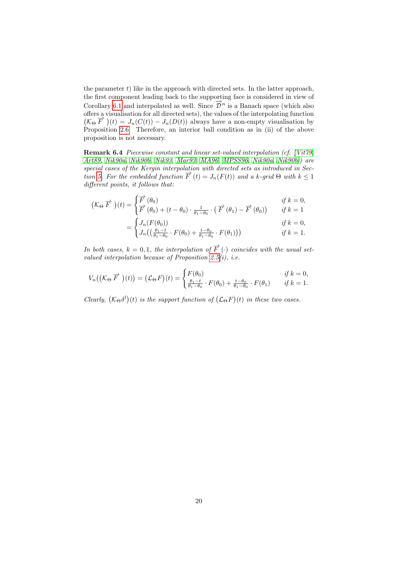the parameter  $t$ ) like in the approach with directed sets. In the latter approach, the first component leading back to the supporting face is considered in view of Corollary [6.1](#page-19-2) and interpolated as well. Since  $\vec{\mathcal{D}}^n$  is a Banach space (which also offers a visualisation for all directed sets), the values of the interpolating function  $(K_{\Theta} \overline{F}^{\bullet})(t) = J_n(C(t)) - J_n(D(t))$  always have a non-empty visualisation by Proposition [2.6.](#page-8-0) Therefore, an interior ball condition as in (ii) of the above proposition is not necessary.

Remark 6.4 Piecewise constant and linear set-valued interpolation (cf. [\[Vit79,](#page-34-10) [Art89,](#page-30-10) [Nik90a,](#page-33-9) [Nik90b,](#page-33-10) [Nik93,](#page-33-11) [Mar93,](#page-33-12) [MA96,](#page-32-12) [MPSS96,](#page-33-13) [Nik90a,](#page-33-9) [Nik90b\]](#page-33-10)) are special cases of the Kergin interpolation with directed sets as introduced in Sec-tion [5.](#page-15-0) For the embedded function  $\overrightarrow{F}(t) = J_n(F(t))$  and a k-grid  $\Theta$  with  $k \leq 1$ different points, it follows that:

$$
(\mathcal{K}_{\Theta} \overrightarrow{F})(t) = \begin{cases} \overrightarrow{F} (\theta_0) & \text{if } k = 0, \\ \overrightarrow{F} (\theta_0) + (t - \theta_0) \cdot \frac{1}{\theta_1 - \theta_0} \cdot (\overrightarrow{F} (\theta_1) - \overrightarrow{F} (\theta_0)) & \text{if } k = 1 \end{cases}
$$

$$
= \begin{cases} J_n(F(\theta_0)) & \text{if } k = 0, \\ J_n((\theta_0 - t), F(\theta_0) + t^{-\theta_0}, F(\theta_0))) & \text{if } k = 1. \end{cases}
$$

$$
= \begin{cases} \int_{n}^{R} \left( \left( \frac{\theta_1 - t}{\theta_1 - \theta_0} \cdot F(\theta_0) + \frac{t - \theta_0}{\theta_1 - \theta_0} \cdot F(\theta_1) \right) \right) & \text{if } k = 1. \end{cases}
$$

In both cases,  $k = 0, 1$ , the interpolation of  $\overrightarrow{F}(\cdot)$  coincides with the usual set-valued interpolation because of Proposition [2.5\(](#page-7-1)i), i.e.

$$
V_n((\mathcal{K}_{\Theta} \overrightarrow{F})(t)) = (\mathcal{L}_{\Theta} F)(t) = \begin{cases} F(\theta_0) & \text{if } k = 0, \\ \frac{\theta_1 - t}{\theta_1 - \theta_0} \cdot F(\theta_0) + \frac{t - \theta_0}{\theta_1 - \theta_0} \cdot F(\theta_1) & \text{if } k = 1. \end{cases}
$$

Clearly,  $(\mathcal{K}_{\Theta} \delta^l)(t)$  is the support function of  $(\mathcal{L}_{\Theta} F)(t)$  in these two cases.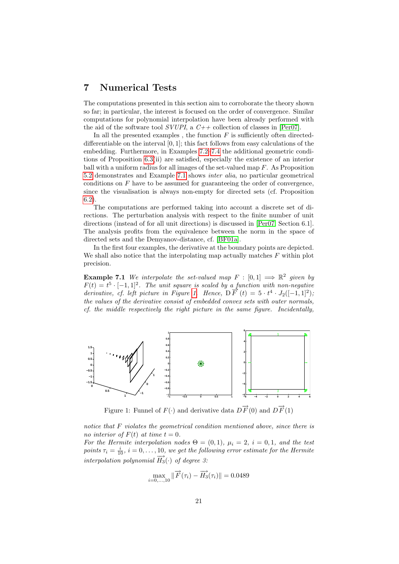# <span id="page-22-0"></span>7 Numerical Tests

The computations presented in this section aim to corroborate the theory shown so far; in particular, the interest is focused on the order of convergence. Similar computations for polynomial interpolation have been already performed with the aid of the software tool SVUPI, a  $C++$  collection of classes in [\[Per07\]](#page-33-4).

In all the presented examples, the function  $F$  is sufficiently often directeddifferentiable on the interval  $[0, 1]$ ; this fact follows from easy calculations of the embedding. Furthermore, in Examples [7.2](#page-22-1)[–7.4](#page-24-0) the additional geometric conditions of Proposition [6.3\(](#page-20-0)ii) are satisfied, especially the existence of an interior ball with a uniform radius for all images of the set-valued map  $F$ . As Proposition [5.2](#page-16-0) demonstrates and Example [7.1](#page-22-2) shows inter alia, no particular geometrical conditions on  $F$  have to be assumed for guaranteeing the order of convergence, since the visualisation is always non-empty for directed sets (cf. Proposition [6.2\)](#page-20-1).

The computations are performed taking into account a discrete set of directions. The perturbation analysis with respect to the finite number of unit directions (instead of for all unit directions) is discussed in [\[Per07,](#page-33-4) Section 6.1]. The analysis profits from the equivalence between the norm in the space of directed sets and the Demyanov-distance, cf. [\[BF01a\]](#page-30-3).

In the first four examples, the derivative at the boundary points are depicted. We shall also notice that the interpolating map actually matches  $F$  within plot precision.

<span id="page-22-2"></span>**Example 7.1** We interpolate the set-valued map  $F : [0,1] \implies \mathbb{R}^2$  given by  $F(t) = t^5 \cdot [-1,1]^2$ . The unit square is scaled by a function with non-negative derivative, cf. left picture in Figure [1.](#page-22-3) Hence,  $D\overline{F}(t) = 5 \cdot t^4 \cdot J_2([-1, 1]^2);$ the values of the derivative consist of embedded convex sets with outer normals, cf. the middle respectively the right picture in the same figure. Incidentally,



<span id="page-22-3"></span>Figure 1: Funnel of  $F(\cdot)$  and derivative data  $D\overrightarrow{F}(0)$  and  $D\overrightarrow{F}(1)$ 

notice that F violates the geometrical condition mentioned above, since there is no interior of  $F(t)$  at time  $t = 0$ .

<span id="page-22-1"></span>For the Hermite interpolation nodes  $\Theta = (0,1)$ ,  $\mu_i = 2$ ,  $i = 0,1$ , and the test points  $\tau_i = \frac{i}{10}$ ,  $i = 0, \ldots, 10$ , we get the following error estimate for the Hermite interpolation polynomial  $\overrightarrow{H_3}(\cdot)$  of degree 3:

$$
\max_{i=0,\dots,10} \|\overrightarrow{F}(\tau_i) - \overrightarrow{H_3}(\tau_i)\| = 0.0489
$$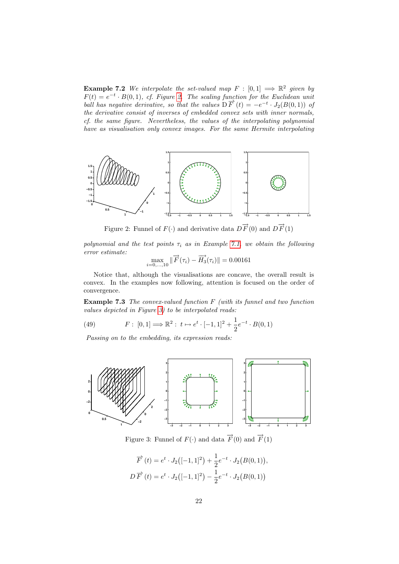**Example 7.2** We interpolate the set-valued map  $F : [0,1] \implies \mathbb{R}^2$  given by  $F(t) = e^{-t} \cdot B(0,1)$ , cf. Figure [2.](#page-23-0) The scaling function for the Euclidean unit ball has negative derivative, so that the values  $D \overrightarrow{F}(t) = -e^{-t} \cdot J_2(B(0,1))$  of the derivative consist of inverses of embedded convex sets with inner normals, cf. the same figure. Nevertheless, the values of the interpolating polynomial have as visualisation only convex images. For the same Hermite interpolating



<span id="page-23-0"></span>Figure 2: Funnel of  $F(\cdot)$  and derivative data  $D\overrightarrow{F}(0)$  and  $D\overrightarrow{F}(1)$ 

polynomial and the test points  $\tau_i$  as in Example [7.1,](#page-22-2) we obtain the following error estimate:

$$
\max_{i=0,\ldots,10} \|\vec{F}(\tau_i) - \vec{H}_3(\tau_i)\| = 0.00161
$$

Notice that, although the visualisations are concave, the overall result is convex. In the examples now following, attention is focused on the order of convergence.

<span id="page-23-2"></span>Example 7.3 The convex-valued function F (with its funnel and two function values depicted in Figure [3\)](#page-23-1) to be interpolated reads:

(49) 
$$
F: [0,1] \Longrightarrow \mathbb{R}^2: t \mapsto e^t \cdot [-1,1]^2 + \frac{1}{2}e^{-t} \cdot B(0,1)
$$

Passing on to the embedding, its expression reads:



<span id="page-23-1"></span>Figure 3: Funnel of  $F(\cdot)$  and data  $\overrightarrow{F}(0)$  and  $\overrightarrow{F}(1)$ 

$$
\overrightarrow{F}(t) = e^t \cdot J_2([-1, 1]^2) + \frac{1}{2}e^{-t} \cdot J_2(B(0, 1)),
$$
  

$$
D \overrightarrow{F}(t) = e^t \cdot J_2([-1, 1]^2) - \frac{1}{2}e^{-t} \cdot J_2(B(0, 1))
$$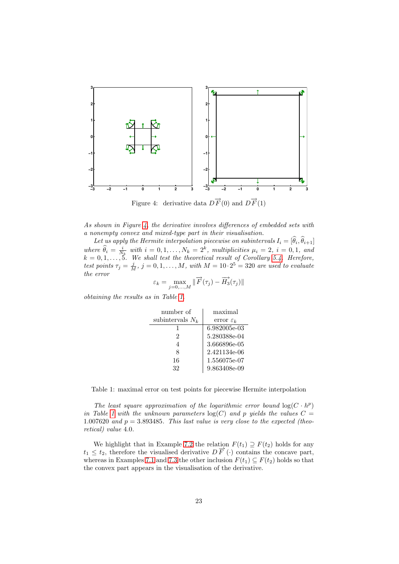

<span id="page-24-1"></span>Figure 4: derivative data  $D\overrightarrow{F}(0)$  and  $D\overrightarrow{F}(1)$ 

As shown in Figure [4,](#page-24-1) the derivative involves differences of embedded sets with a nonempty convex and mixed-type part in their visualisation.

Let us apply the Hermite interpolation piecewise on subintervals  $I_i = [\theta_i, \theta_{i+1}]$ where  $\widehat{\theta}_i = \frac{i}{N_k}$  with  $i = 0, 1, ..., N_k = 2^k$ , multiplicities  $\mu_i = 2, i = 0, 1,$  and  $k = 0, 1, \ldots, 5$ . We shall test the theoretical result of Corollary [5.4.](#page-17-2) Herefore, test points  $\tau_j = \frac{j}{M}$ ,  $j = 0, 1, ..., M$ , with  $M = 10 \cdot 2^5 = 320$  are used to evaluate the error

$$
\varepsilon_k = \max_{j=0,\dots,M} \|\overrightarrow{F}(\tau_j) - \overrightarrow{H_3}(\tau_j)\|
$$

obtaining the results as in Table [1.](#page-24-2)

| number of          | maximal               |
|--------------------|-----------------------|
| subintervals $N_k$ | error $\varepsilon_k$ |
| ı                  | 6.982005e-03          |
| $\mathfrak{D}$     | 5.280388e-04          |
| 4                  | 3.666896e-05          |
| 8                  | 2.421134e-06          |
| 16                 | 1.556075e-07          |
| 32                 | 9.863408e-09          |

<span id="page-24-2"></span>Table 1: maximal error on test points for piecewise Hermite interpolation

The least square approximation of the logarithmic error bound  $log(C \cdot h^p)$ in Table [1](#page-24-2) with the unknown parameters  $log(C)$  and p yields the values  $C =$ 1.007620 and  $p = 3.893485$ . This last value is very close to the expected (theoretical) value 4.0.

<span id="page-24-0"></span>We highlight that in Example [7.2](#page-22-1) the relation  $F(t_1) \supseteq F(t_2)$  holds for any  $t_1 \leq t_2$ , therefore the visualised derivative  $D\overrightarrow{F}(\cdot)$  contains the concave part, whereas in Examples [7.1](#page-22-2) and [7.3](#page-23-2) the other inclusion  $F(t_1) \subseteq F(t_2)$  holds so that the convex part appears in the visualisation of the derivative.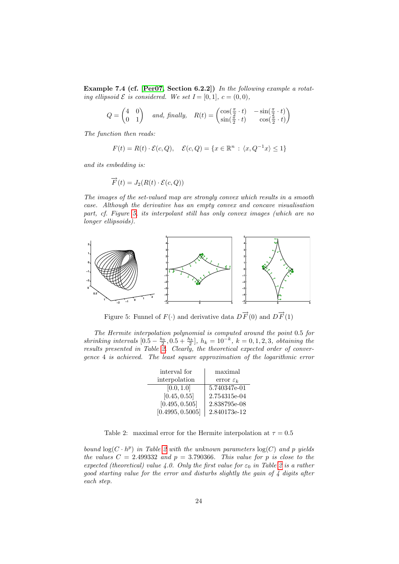Example 7.4 (cf. [\[Per07,](#page-33-4) Section 6.2.2]) In the following example a rotating ellipsoid  $\mathcal E$  is considered. We set  $I = [0, 1], c = (0, 0),$ 

$$
Q = \begin{pmatrix} 4 & 0 \\ 0 & 1 \end{pmatrix} \quad and, finally, \quad R(t) = \begin{pmatrix} \cos(\frac{\pi}{2} \cdot t) & -\sin(\frac{\pi}{2} \cdot t) \\ \sin(\frac{\pi}{2} \cdot t) & \cos(\frac{\pi}{2} \cdot t) \end{pmatrix}
$$

The function then reads:

$$
F(t) = R(t) \cdot \mathcal{E}(c, Q), \quad \mathcal{E}(c, Q) = \{x \in \mathbb{R}^n : \langle x, Q^{-1}x \rangle \le 1\}
$$

and its embedding is:

$$
\overrightarrow{F}(t) = J_2(R(t) \cdot \mathcal{E}(c, Q))
$$

The images of the set-valued map are strongly convex which results in a smooth case. Although the derivative has an empty convex and concave visualisation part, cf. Figure [5,](#page-25-0) its interpolant still has only convex images (which are no longer ellipsoids).



<span id="page-25-0"></span>Figure 5: Funnel of  $F(\cdot)$  and derivative data  $D\overrightarrow{F}(0)$  and  $D\overrightarrow{F}(1)$ 

The Hermite interpolation polynomial is computed around the point 0.5 for shrinking intervals  $[0.5 - \frac{h_k}{2}, 0.5 + \frac{h_k}{2}], h_k = 10^{-k}, k = 0, 1, 2, 3$ , obtaining the results presented in Table [2.](#page-25-1) Clearly, the theoretical expected order of convergence 4 is achieved. The least square approximation of the logarithmic error

| interval for     | maximal               |
|------------------|-----------------------|
| interpolation    | error $\varepsilon_k$ |
| [0.0, 1.0]       | 5.740347e-01          |
| [0.45, 0.55]     | 2.754315e-04          |
| [0.495, 0.505]   | 2.838795e-08          |
| [0.4995, 0.5005] | 2.840173e-12          |

<span id="page-25-1"></span>Table 2: maximal error for the Hermite interpolation at  $\tau = 0.5$ 

bound  $\log(C \cdot h^p)$  in Table [2](#page-25-1) with the unknown parameters  $\log(C)$  and p yields the values  $C = 2.499332$  and  $p = 3.790366$ . This value for p is close to the expected (theoretical) value 4.0. Only the first value for  $\varepsilon_0$  in Table [2](#page-25-1) is a rather good starting value for the error and disturbs slightly the gain of 4 digits after each step.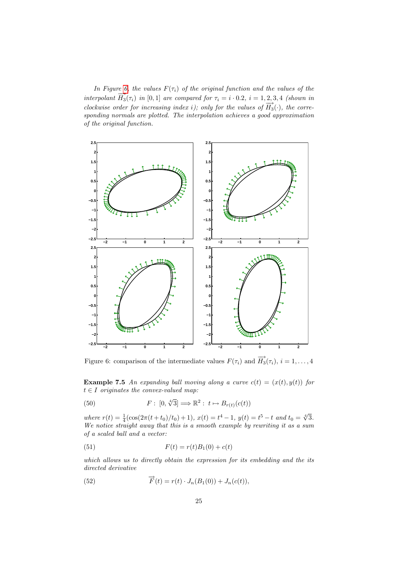In Figure [6,](#page-26-0) the values  $F(\tau_i)$  of the original function and the values of the interpolant  $\overline{H}_3(\tau_i)$  in [0,1] are compared for  $\tau_i = i \cdot 0.2$ ,  $i = 1, 2, 3, 4$  (shown in clockwise order for increasing index i); only for the values of  $\overrightarrow{H_3}(\cdot)$ , the corresponding normals are plotted. The interpolation achieves a good approximation of the original function.



<span id="page-26-0"></span>Figure 6: comparison of the intermediate values  $F(\tau_i)$  and  $\overline{H}_3(\tau_i)$ ,  $i = 1, \ldots, 4$ 

**Example 7.5** An expanding ball moving along a curve  $c(t) = (x(t), y(t))$  for  $t \in I$  originates the convex-valued map:

(50) 
$$
F: [0, \sqrt[4]{3}] \Longrightarrow \mathbb{R}^2: t \mapsto B_{r(t)}(c(t))
$$

where  $r(t) = \frac{1}{4}(\cos(2\pi(t+t_0)/t_0) + 1), x(t) = t^4 - 1, y(t) = t^5 - t$  and  $t_0 = \sqrt[4]{3}$ . We notice straight away that this is a smooth example by rewriting it as a sum of a scaled ball and a vector:

(51) 
$$
F(t) = r(t)B_1(0) + c(t)
$$

which allows us to directly obtain the expression for its embedding and the its directed derivative

(52) 
$$
\overrightarrow{F}(t) = r(t) \cdot J_n(B_1(0)) + J_n(c(t)),
$$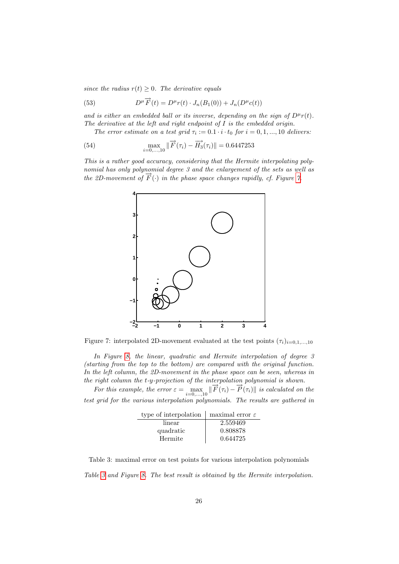since the radius  $r(t) \geq 0$ . The derivative equals

(53) 
$$
D^{\mu}\overrightarrow{F}(t) = D^{\mu}r(t) \cdot J_n(B_1(0)) + J_n(D^{\mu}c(t))
$$

and is either an embedded ball or its inverse, depending on the sign of  $D^{\mu}r(t)$ . The derivative at the left and right endpoint of  $I$  is the embedded origin.

The error estimate on a test grid  $\tau_i := 0.1 \cdot i \cdot t_0$  for  $i = 0, 1, ..., 10$  delivers:

(54) 
$$
\max_{i=0,...,10} \|\overrightarrow{F}(\tau_i) - \overrightarrow{H_3}(\tau_i)\| = 0.6447253
$$

This is a rather good accuracy, considering that the Hermite interpolating polynomial has only polynomial degree 3 and the enlargement of the sets as well as the 2D-movement of  $\overrightarrow{F}(\cdot)$  in the phase space changes rapidly, cf. Figure [7.](#page-27-0)



<span id="page-27-0"></span>Figure 7: interpolated 2D-movement evaluated at the test points  $(\tau_i)_{i=0,1,\dots,10}$ 

In Figure [8,](#page-28-0) the linear, quadratic and Hermite interpolation of degree 3 (starting from the top to the bottom) are compared with the original function. In the left column, the 2D-movement in the phase space can be seen, whereas in the right column the t-y-projection of the interpolation polynomial is shown.

For this example, the error  $\varepsilon = \max_{i=0,...,10} \|\vec{F}(\tau_i) - \vec{P}(\tau_i)\|$  is calculated on the test grid for the various interpolation polynomials. The results are gathered in

| type of interpolation | maximal error $\varepsilon$ |
|-----------------------|-----------------------------|
| linear                | 2.559469                    |
| quadratic             | 0.808878                    |
| Hermite               | 0.644725                    |

<span id="page-27-1"></span>Table 3: maximal error on test points for various interpolation polynomials Table [3](#page-27-1) and Figure [8.](#page-28-0) The best result is obtained by the Hermite interpolation.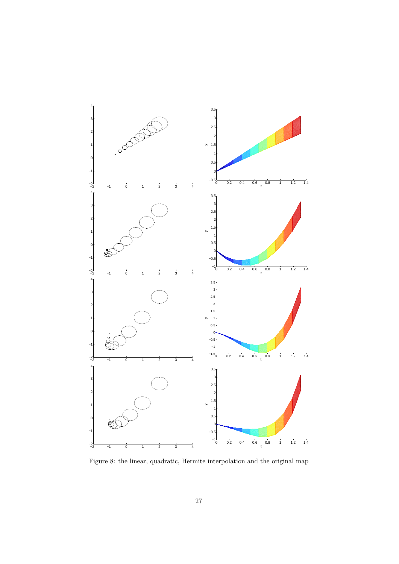

<span id="page-28-0"></span>Figure 8: the linear, quadratic, Hermite interpolation and the original map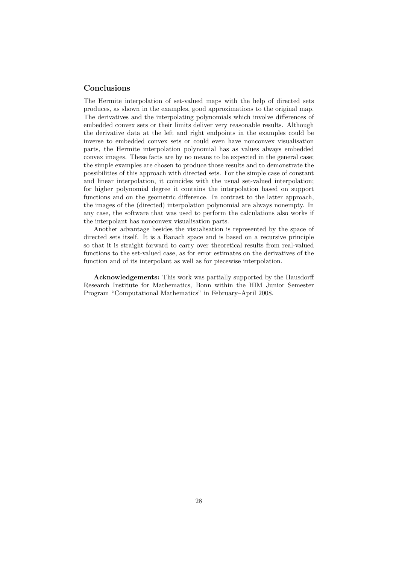### Conclusions

The Hermite interpolation of set-valued maps with the help of directed sets produces, as shown in the examples, good approximations to the original map. The derivatives and the interpolating polynomials which involve differences of embedded convex sets or their limits deliver very reasonable results. Although the derivative data at the left and right endpoints in the examples could be inverse to embedded convex sets or could even have nonconvex visualisation parts, the Hermite interpolation polynomial has as values always embedded convex images. These facts are by no means to be expected in the general case; the simple examples are chosen to produce those results and to demonstrate the possibilities of this approach with directed sets. For the simple case of constant and linear interpolation, it coincides with the usual set-valued interpolation; for higher polynomial degree it contains the interpolation based on support functions and on the geometric difference. In contrast to the latter approach, the images of the (directed) interpolation polynomial are always nonempty. In any case, the software that was used to perform the calculations also works if the interpolant has nonconvex visualisation parts.

Another advantage besides the visualisation is represented by the space of directed sets itself. It is a Banach space and is based on a recursive principle so that it is straight forward to carry over theoretical results from real-valued functions to the set-valued case, as for error estimates on the derivatives of the function and of its interpolant as well as for piecewise interpolation.

Acknowledgements: This work was partially supported by the Hausdorff Research Institute for Mathematics, Bonn within the HIM Junior Semester Program "Computational Mathematics" in February–April 2008.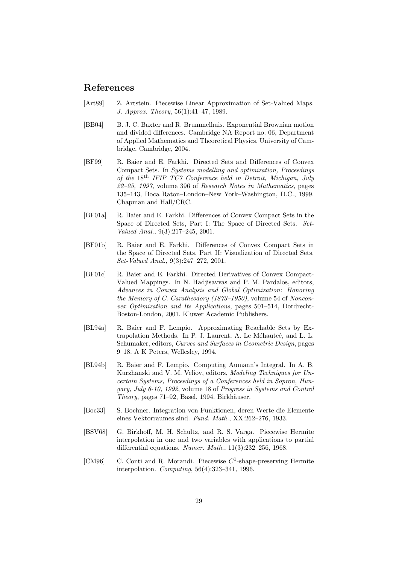# References

- <span id="page-30-10"></span>[Art89] Z. Artstein. Piecewise Linear Approximation of Set-Valued Maps. J. Approx. Theory, 56(1):41–47, 1989.
- <span id="page-30-1"></span>[BB04] B. J. C. Baxter and R. Brummelhuis. Exponential Brownian motion and divided differences. Cambridge NA Report no. 06, Department of Applied Mathematics and Theoretical Physics, University of Cambridge, Cambridge, 2004.
- <span id="page-30-6"></span>[BF99] R. Baier and E. Farkhi. Directed Sets and Differences of Convex Compact Sets. In Systems modelling and optimization, Proceedings of the 18th IFIP TC7 Conference held in Detroit, Michigan, July  $22-25$ , 1997, volume 396 of Research Notes in Mathematics, pages 135–143, Boca Raton–London–New York–Washington, D.C., 1999. Chapman and Hall/CRC.
- <span id="page-30-3"></span>[BF01a] R. Baier and E. Farkhi. Differences of Convex Compact Sets in the Space of Directed Sets, Part I: The Space of Directed Sets. Set-Valued Anal., 9(3):217–245, 2001.
- <span id="page-30-4"></span>[BF01b] R. Baier and E. Farkhi. Differences of Convex Compact Sets in the Space of Directed Sets, Part II: Visualization of Directed Sets. Set-Valued Anal., 9(3):247–272, 2001.
- <span id="page-30-5"></span>[BF01c] R. Baier and E. Farkhi. Directed Derivatives of Convex Compact-Valued Mappings. In N. Hadjisavvas and P. M. Pardalos, editors, Advances in Convex Analysis and Global Optimization: Honoring the Memory of C. Caratheodory (1873–1950), volume 54 of Nonconvex Optimization and Its Applications, pages 501–514, Dordrecht-Boston-London, 2001. Kluwer Academic Publishers.
- <span id="page-30-8"></span>[BL94a] R. Baier and F. Lempio. Approximating Reachable Sets by Extrapolation Methods. In P. J. Laurent, A. Le Méhauteé, and L. L. Schumaker, editors, Curves and Surfaces in Geometric Design, pages 9–18. A K Peters, Wellesley, 1994.
- <span id="page-30-7"></span>[BL94b] R. Baier and F. Lempio. Computing Aumann's Integral. In A. B. Kurzhanski and V. M. Veliov, editors, Modeling Techniques for Uncertain Systems, Proceedings of a Conferences held in Sopron, Hungary, July 6-10, 1992, volume 18 of Progress in Systems and Control  $Theory, pages 71–92, Basel, 1994. Birkhäuser.$
- <span id="page-30-9"></span>[Boc33] S. Bochner. Integration von Funktionen, deren Werte die Elemente eines Vektorraumes sind. Fund. Math., XX:262–276, 1933.
- <span id="page-30-2"></span>[BSV68] G. Birkhoff, M. H. Schultz, and R. S. Varga. Piecewise Hermite interpolation in one and two variables with applications to partial differential equations. Numer. Math., 11(3):232–256, 1968.
- <span id="page-30-0"></span>[CM96] C. Conti and R. Morandi. Piecewise  $C^1$ -shape-preserving Hermite interpolation. Computing, 56(4):323–341, 1996.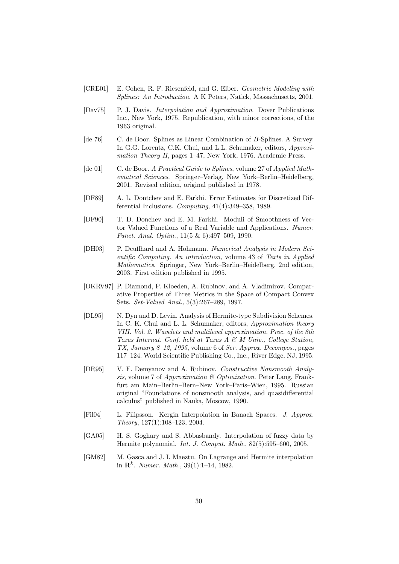- <span id="page-31-10"></span>[CRE01] E. Cohen, R. F. Riesenfeld, and G. Elber. Geometric Modeling with Splines: An Introduction. A K Peters, Natick, Massachusetts, 2001.
- <span id="page-31-8"></span>[Dav75] P. J. Davis. Interpolation and Approximation. Dover Publications Inc., New York, 1975. Republication, with minor corrections, of the 1963 original.
- <span id="page-31-11"></span>[de 76] C. de Boor. Splines as Linear Combination of B-Splines. A Survey. In G.G. Lorentz, C.K. Chui, and L.L. Schumaker, editors, Approximation Theory II, pages 1–47, New York, 1976. Academic Press.
- <span id="page-31-9"></span>[de 01] C. de Boor. A Practical Guide to Splines, volume 27 of Applied Mathematical Sciences. Springer–Verlag, New York–Berlin–Heidelberg, 2001. Revised edition, original published in 1978.
- <span id="page-31-7"></span>[DF89] A. L. Dontchev and E. Farkhi. Error Estimates for Discretized Differential Inclusions. Computing, 41(4):349–358, 1989.
- <span id="page-31-4"></span>[DF90] T. D. Donchev and E. M. Farkhi. Moduli of Smoothness of Vector Valued Functions of a Real Variable and Applications. Numer. Funct. Anal. Optim., 11(5 & 6):497–509, 1990.
- <span id="page-31-12"></span>[DH03] P. Deuflhard and A. Hohmann. Numerical Analysis in Modern Scientific Computing. An introduction, volume 43 of Texts in Applied Mathematics. Springer, New York–Berlin–Heidelberg, 2nd edition, 2003. First edition published in 1995.
- <span id="page-31-6"></span>[DKRV97] P. Diamond, P. Kloeden, A. Rubinov, and A. Vladimirov. Comparative Properties of Three Metrics in the Space of Compact Convex Sets. Set-Valued Anal., 5(3):267–289, 1997.
- <span id="page-31-1"></span>[DL95] N. Dyn and D. Levin. Analysis of Hermite-type Subdivision Schemes. In C. K. Chui and L. L. Schumaker, editors, Approximation theory VIII. Vol. 2. Wavelets and multilevel approximation. Proc. of the 8th Texas Internat. Conf. held at Texas  $A \& M$  Univ., College Station, TX, January 8–12, 1995, volume 6 of Ser. Approx. Decompos., pages 117–124. World Scientific Publishing Co., Inc., River Edge, NJ, 1995.
- <span id="page-31-3"></span>[DR95] V. F. Demyanov and A. Rubinov. Constructive Nonsmooth Analysis, volume 7 of Approximation & Optimization. Peter Lang, Frankfurt am Main–Berlin–Bern–New York–Paris–Wien, 1995. Russian original "Foundations of nonsmooth analysis, and quasidifferential calculus" published in Nauka, Moscow, 1990.
- <span id="page-31-5"></span>[Fil04] L. Filipsson. Kergin Interpolation in Banach Spaces. J. Approx. Theory, 127(1):108–123, 2004.
- <span id="page-31-2"></span>[GA05] H. S. Goghary and S. Abbasbandy. Interpolation of fuzzy data by Hermite polynomial. Int. J. Comput. Math., 82(5):595–600, 2005.
- <span id="page-31-0"></span>[GM82] M. Gasca and J. I. Maeztu. On Lagrange and Hermite interpolation in  $\mathbb{R}^k$ . *Numer. Math.*, 39(1):1-14, 1982.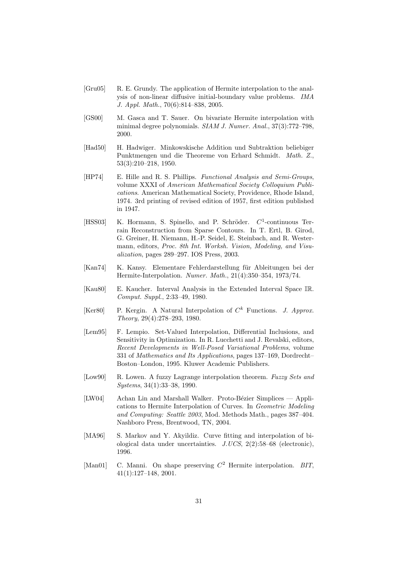- <span id="page-32-5"></span>[Gru05] R. E. Grundy. The application of Hermite interpolation to the analysis of non-linear diffusive initial-boundary value problems. IMA J. Appl. Math., 70(6):814–838, 2005.
- <span id="page-32-1"></span>[GS00] M. Gasca and T. Sauer. On bivariate Hermite interpolation with minimal degree polynomials. SIAM J. Numer. Anal., 37(3):772–798, 2000.
- <span id="page-32-6"></span>[Had50] H. Hadwiger. Minkowskische Addition und Subtraktion beliebiger Punktmengen und die Theoreme von Erhard Schmidt. Math. Z., 53(3):210–218, 1950.
- <span id="page-32-9"></span>[HP74] E. Hille and R. S. Phillips. Functional Analysis and Semi-Groups, volume XXXI of American Mathematical Society Colloquium Publications. American Mathematical Society, Providence, Rhode Island, 1974. 3rd printing of revised edition of 1957, first edition published in 1947.
- <span id="page-32-3"></span>[HSS03] K. Hormann, S. Spinello, and P. Schröder.  $C^1$ -continuous Terrain Reconstruction from Sparse Contours. In T. Ertl, B. Girod, G. Greiner, H. Niemann, H.-P. Seidel, E. Steinbach, and R. Westermann, editors, Proc. 8th Int. Worksh. Vision, Modeling, and Visualization, pages 289–297. IOS Press, 2003.
- <span id="page-32-11"></span>[Kan74] K. Kansy. Elementare Fehlerdarstellung für Ableitungen bei der Hermite-Interpolation. Numer. Math., 21(4):350–354, 1973/74.
- <span id="page-32-7"></span>[Kau80] E. Kaucher. Interval Analysis in the Extended Interval Space IR. Comput. Suppl., 2:33–49, 1980.
- <span id="page-32-10"></span>[Ker80] P. Kergin. A Natural Interpolation of  $C<sup>k</sup>$  Functions. J. Approx. Theory, 29(4):278–293, 1980.
- <span id="page-32-8"></span>[Lem95] F. Lempio. Set-Valued Interpolation, Differential Inclusions, and Sensitivity in Optimization. In R. Lucchetti and J. Revalski, editors, Recent Developments in Well-Posed Variational Problems, volume 331 of Mathematics and Its Applications, pages 137–169, Dordrecht– Boston–London, 1995. Kluwer Academic Publishers.
- <span id="page-32-4"></span>[Low90] R. Lowen. A fuzzy Lagrange interpolation theorem. Fuzzy Sets and Systems, 34(1):33–38, 1990.
- <span id="page-32-2"></span>[LW04] Achan Lin and Marshall Walker. Proto-Bézier Simplices — Applications to Hermite Interpolation of Curves. In Geometric Modeling and Computing: Seattle 2003, Mod. Methods Math., pages 387–404. Nashboro Press, Brentwood, TN, 2004.
- <span id="page-32-12"></span>[MA96] S. Markov and Y. Akyildiz. Curve fitting and interpolation of biological data under uncertainties. J.UCS, 2(2):58–68 (electronic), 1996.
- <span id="page-32-0"></span>[Man01] C. Manni. On shape preserving  $C^2$  Hermite interpolation. BIT, 41(1):127–148, 2001.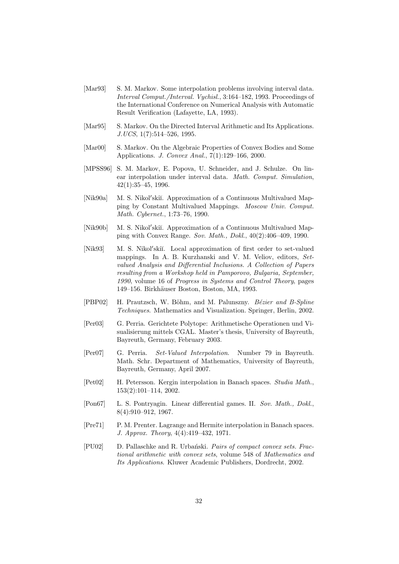- <span id="page-33-12"></span>[Mar93] S. M. Markov. Some interpolation problems involving interval data. Interval Comput./Interval. Vychisl., 3:164–182, 1993. Proceedings of the International Conference on Numerical Analysis with Automatic Result Verification (Lafayette, LA, 1993).
- <span id="page-33-3"></span>[Mar95] S. Markov. On the Directed Interval Arithmetic and Its Applications. J.UCS, 1(7):514–526, 1995.
- <span id="page-33-1"></span>[Mar00] S. Markov. On the Algebraic Properties of Convex Bodies and Some Applications. J. Convex Anal., 7(1):129–166, 2000.
- <span id="page-33-13"></span>[MPSS96] S. M. Markov, E. Popova, U. Schneider, and J. Schulze. On linear interpolation under interval data. Math. Comput. Simulation, 42(1):35–45, 1996.
- <span id="page-33-9"></span>[Nik90a] M. S. Nikol'skiĭ. Approximation of a Continuous Multivalued Mapping by Constant Multivalued Mappings. Moscow Univ. Comput. Math. Cybernet., 1:73–76, 1990.
- <span id="page-33-10"></span>[Nik90b] M. S. Nikol'skiĭ. Approximation of a Continuous Multivalued Mapping with Convex Range. Sov. Math., Dokl., 40(2):406–409, 1990.
- <span id="page-33-11"></span>[Nik93] M. S. Nikol'skiĭ. Local approximation of first order to set-valued mappings. In A. B. Kurzhanski and V. M. Veliov, editors, Setvalued Analysis and Differential Inclusions. A Collection of Papers resulting from a Workshop held in Pamporovo, Bulgaria, September, 1990, volume 16 of Progress in Systems and Control Theory, pages 149–156. Birkhäuser Boston, Boston, MA, 1993.
- <span id="page-33-8"></span>[PBP02] H. Prautzsch, W. Böhm, and M. Palunszny. Bézier and B-Spline Techniques. Mathematics and Visualization. Springer, Berlin, 2002.
- <span id="page-33-7"></span>[Per03] G. Perria. Gerichtete Polytope: Arithmetische Operationen und Visualisierung mittels CGAL. Master's thesis, University of Bayreuth, Bayreuth, Germany, February 2003.
- <span id="page-33-4"></span>[Per07] G. Perria. Set-Valued Interpolation. Number 79 in Bayreuth. Math. Schr. Department of Mathematics, University of Bayreuth, Bayreuth, Germany, April 2007.
- <span id="page-33-6"></span>[Pet02] H. Petersson. Kergin interpolation in Banach spaces. Studia Math., 153(2):101–114, 2002.
- <span id="page-33-0"></span>[Pon67] L. S. Pontryagin. Linear differential games. II. Sov. Math., Dokl., 8(4):910–912, 1967.
- <span id="page-33-5"></span>[Pre71] P. M. Prenter. Lagrange and Hermite interpolation in Banach spaces. J. Approx. Theory, 4(4):419–432, 1971.
- <span id="page-33-2"></span>[PU02] D. Pallaschke and R. Urbański. Pairs of compact convex sets. Fractional arithmetic with convex sets, volume 548 of Mathematics and Its Applications. Kluwer Academic Publishers, Dordrecht, 2002.